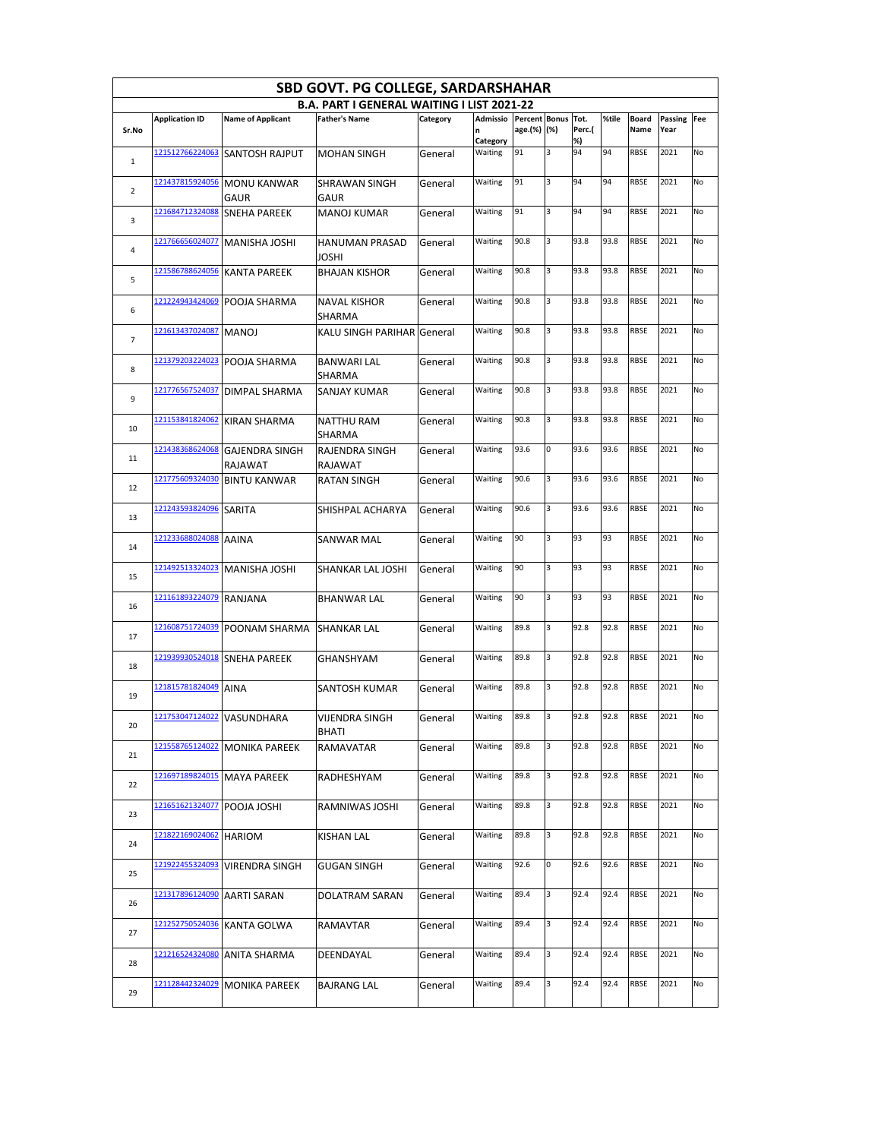|                |                            |                                  | SBD GOVT. PG COLLEGE, SARDARSHAHAR                |          |                           |                                   |   |              |       |               |                        |     |
|----------------|----------------------------|----------------------------------|---------------------------------------------------|----------|---------------------------|-----------------------------------|---|--------------|-------|---------------|------------------------|-----|
|                |                            |                                  | <b>B.A. PART I GENERAL WAITING I LIST 2021-22</b> |          |                           |                                   |   |              |       |               |                        |     |
| Sr.No          | <b>Application ID</b>      | <b>Name of Applicant</b>         | <b>Father's Name</b>                              | Category | Admissio<br>n<br>Category | Percent Bonus Tot.<br>age.(%) (%) |   | Perc.(<br>%) | %tile | Board<br>Name | <b>Passing</b><br>Year | Fee |
| 1              | 121512766224063            | <b>SANTOSH RAJPUT</b>            | <b>MOHAN SINGH</b>                                | General  | Waiting                   | 91                                | 3 | 94           | 94    | RBSE          | 2021                   | No  |
| $\overline{2}$ | 121437815924056            | <b>MONU KANWAR</b><br>GAUR       | <b>SHRAWAN SINGH</b><br>GAUR                      | General  | Waiting                   | 91                                | 3 | 94           | 94    | RBSE          | 2021                   | No  |
| 3              | 121684712324088            | <b>SNEHA PAREEK</b>              | <b>MANOJ KUMAR</b>                                | General  | Waiting                   | 91                                | 3 | 94           | 94    | RBSE          | 2021                   | No  |
| 4              | 121766656024077            | MANISHA JOSHI                    | HANUMAN PRASAD<br>JOSHI                           | General  | Waiting                   | 90.8                              | 3 | 93.8         | 93.8  | <b>RBSE</b>   | 2021                   | No  |
| 5              | 121586788624056            | <b>KANTA PAREEK</b>              | <b>BHAJAN KISHOR</b>                              | General  | Waiting                   | 90.8                              | 3 | 93.8         | 93.8  | RBSE          | 2021                   | No  |
| 6              | 121224943424069            | POOJA SHARMA                     | <b>NAVAL KISHOR</b><br>SHARMA                     | General  | Waiting                   | 90.8                              | 3 | 93.8         | 93.8  | RBSE          | 2021                   | No  |
| 7              | 121613437024087            | <b>MANOJ</b>                     | KALU SINGH PARIHAR General                        |          | Waiting                   | 90.8                              | 3 | 93.8         | 93.8  | RBSE          | 2021                   | No  |
| 8              | 121379203224023            | POOJA SHARMA                     | <b>BANWARI LAL</b><br>SHARMA                      | General  | Waiting                   | 90.8                              | 3 | 93.8         | 93.8  | RBSE          | 2021                   | No  |
| 9              | 121776567524037            | DIMPAL SHARMA                    | <b>SANJAY KUMAR</b>                               | General  | Waiting                   | 90.8                              | 3 | 93.8         | 93.8  | RBSE          | 2021                   | No  |
| 10             | 121153841824062            | <b>KIRAN SHARMA</b>              | NATTHU RAM<br>SHARMA                              | General  | Waiting                   | 90.8                              | 3 | 93.8         | 93.8  | RBSE          | 2021                   | No  |
| 11             | 121438368624068            | <b>GAJENDRA SINGH</b><br>RAJAWAT | RAJENDRA SINGH<br>RAJAWAT                         | General  | Waiting                   | 93.6                              | 0 | 93.6         | 93.6  | <b>RBSE</b>   | 2021                   | No  |
| 12             | 121775609324030            | <b>BINTU KANWAR</b>              | <b>RATAN SINGH</b>                                | General  | Waiting                   | 90.6                              | 3 | 93.6         | 93.6  | RBSE          | 2021                   | No  |
| 13             | 121243593824096            | SARITA                           | SHISHPAL ACHARYA                                  | General  | Waiting                   | 90.6                              | 3 | 93.6         | 93.6  | RBSE          | 2021                   | No  |
| 14             | 121233688024088            | AAINA                            | <b>SANWAR MAL</b>                                 | General  | Waiting                   | 90                                | 3 | 93           | 93    | RBSE          | 2021                   | No  |
| 15             | 121492513324023            | MANISHA JOSHI                    | SHANKAR LAL JOSHI                                 | General  | Waiting                   | 90                                | 3 | 93           | 93    | <b>RBSE</b>   | 2021                   | No  |
| 16             | 121161893224079            | RANJANA                          | <b>BHANWAR LAL</b>                                | General  | Waiting                   | 90                                | 3 | 93           | 93    | <b>RBSE</b>   | 2021                   | No  |
| 17             | 121608751724039            | POONAM SHARMA                    | <b>SHANKAR LAL</b>                                | General  | Waiting                   | 89.8                              | 3 | 92.8         | 92.8  | RBSE          | 2021                   | No  |
| 18             |                            | 121939930524018 SNEHA PAREEK     | GHANSHYAM                                         | General  | Waiting                   | 89.8                              | 3 | 92.8         | 92.8  | RBSE          | 2021                   | No  |
| 19             | 121815781824049            | <b>AINA</b>                      | SANTOSH KUMAR                                     | General  | Waiting                   | 89.8                              | 3 | 92.8         | 92.8  | RBSE          | 2021                   | No  |
| 20             | 121753047124022 VASUNDHARA |                                  | <b>VIJENDRA SINGH</b><br><b>BHATI</b>             | General  | Waiting                   | 89.8                              | 3 | 92.8         | 92.8  | <b>RBSE</b>   | 2021                   | No  |
| 21             | 121558765124022            | <b>MONIKA PAREEK</b>             | RAMAVATAR                                         | General  | Waiting                   | 89.8                              | 3 | 92.8         | 92.8  | RBSE          | 2021                   | No  |
| 22             | 121697189824015            | <b>MAYA PAREEK</b>               | RADHESHYAM                                        | General  | Waiting                   | 89.8                              | 3 | 92.8         | 92.8  | RBSE          | 2021                   | No  |
| 23             | 121651621324077            | POOJA JOSHI                      | RAMNIWAS JOSHI                                    | General  | Waiting                   | 89.8                              | 3 | 92.8         | 92.8  | RBSE          | 2021                   | No  |
| 24             | 121822169024062            | HARIOM                           | KISHAN LAL                                        | General  | Waiting                   | 89.8                              | 3 | 92.8         | 92.8  | RBSE          | 2021                   | No  |
| 25             | 121922455324093            | VIRENDRA SINGH                   | <b>GUGAN SINGH</b>                                | General  | Waiting                   | 92.6                              | 0 | 92.6         | 92.6  | RBSE          | 2021                   | No  |
| 26             | 121317896124090            | AARTI SARAN                      | DOLATRAM SARAN                                    | General  | Waiting                   | 89.4                              | 3 | 92.4         | 92.4  | RBSE          | 2021                   | No  |
| 27             | 121252750524036            | KANTA GOLWA                      | RAMAVTAR                                          | General  | Waiting                   | 89.4                              | 3 | 92.4         | 92.4  | RBSE          | 2021                   | No  |
| 28             | 121216524324080            | ANITA SHARMA                     | DEENDAYAL                                         | General  | Waiting                   | 89.4                              | 3 | 92.4         | 92.4  | RBSE          | 2021                   | No  |
| 29             | 121128442324029            | <b>MONIKA PAREEK</b>             | <b>BAJRANG LAL</b>                                | General  | Waiting                   | 89.4                              | 3 | 92.4         | 92.4  | RBSE          | 2021                   | No  |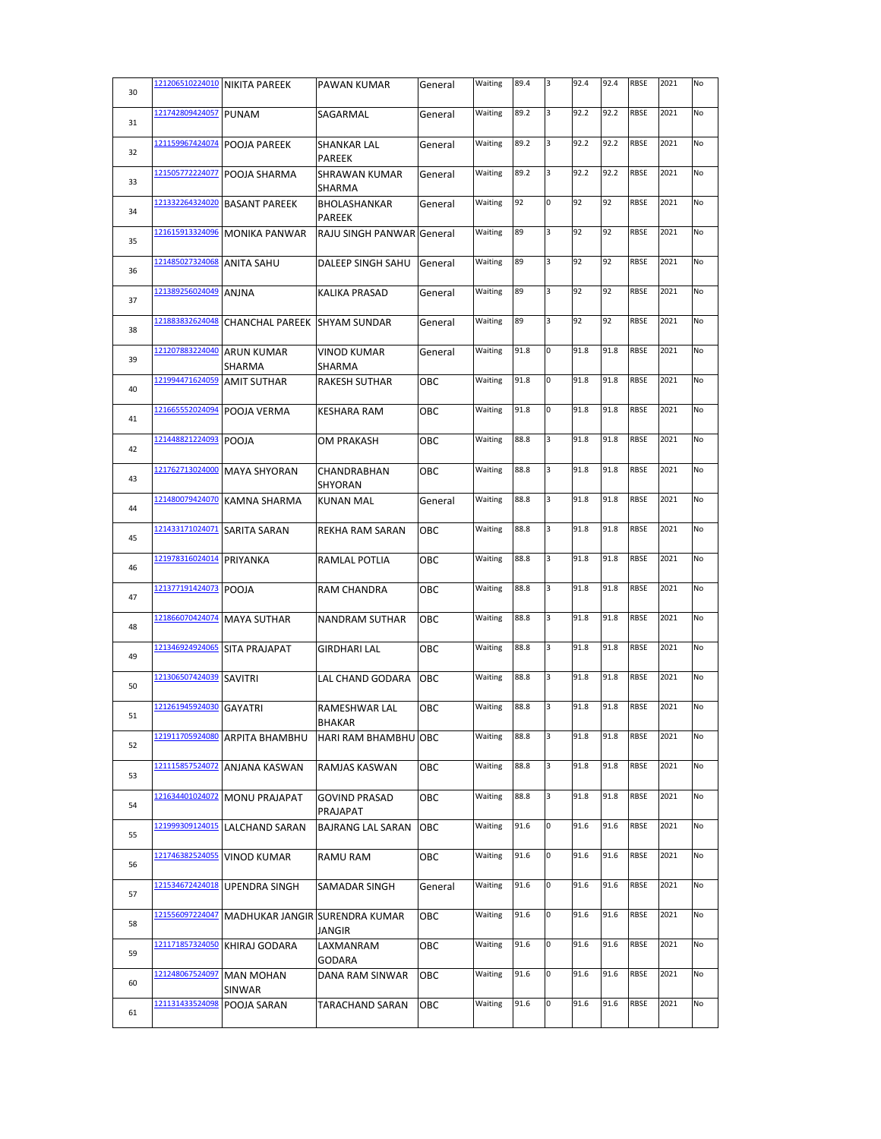| 30 |                 | 121206510224010 NIKITA PAREEK  | PAWAN KUMAR                          | General | Waiting | 89.4 | 3 | 92.4 | 92.4 | <b>RBSE</b> | 2021 | No |
|----|-----------------|--------------------------------|--------------------------------------|---------|---------|------|---|------|------|-------------|------|----|
| 31 | 121742809424057 | <b>PUNAM</b>                   | SAGARMAL                             | General | Waiting | 89.2 | 3 | 92.2 | 92.2 | <b>RBSE</b> | 2021 | No |
| 32 | 121159967424074 | POOJA PAREEK                   | SHANKAR LAL<br><b>PAREEK</b>         | General | Waiting | 89.2 | 3 | 92.2 | 92.2 | <b>RBSE</b> | 2021 | No |
| 33 | 121505772224077 | POOJA SHARMA                   | <b>SHRAWAN KUMAR</b><br>SHARMA       | General | Waiting | 89.2 | 3 | 92.2 | 92.2 | <b>RBSE</b> | 2021 | No |
| 34 | 121332264324020 | <b>BASANT PAREEK</b>           | <b>BHOLASHANKAR</b><br><b>PAREEK</b> | General | Waiting | 92   | 0 | 92   | 92   | <b>RBSE</b> | 2021 | No |
| 35 | 121615913324096 | <b>MONIKA PANWAR</b>           | <b>RAJU SINGH PANWAR</b>             | General | Waiting | 89   | 3 | 92   | 92   | <b>RBSE</b> | 2021 | No |
| 36 | 121485027324068 | <b>ANITA SAHU</b>              | <b>DALEEP SINGH SAHU</b>             | General | Waiting | 89   | 3 | 92   | 92   | <b>RBSE</b> | 2021 | No |
| 37 | 121389256024049 | <b>ANJNA</b>                   | <b>KALIKA PRASAD</b>                 | General | Waiting | 89   | 3 | 92   | 92   | <b>RBSE</b> | 2021 | No |
| 38 | 121883832624048 | <b>CHANCHAL PAREEK</b>         | <b>SHYAM SUNDAR</b>                  | General | Waiting | 89   | 3 | 92   | 92   | <b>RBSE</b> | 2021 | No |
| 39 | 121207883224040 | <b>ARUN KUMAR</b><br>SHARMA    | VINOD KUMAR<br>SHARMA                | General | Waiting | 91.8 | 0 | 91.8 | 91.8 | <b>RBSE</b> | 2021 | No |
| 40 | 121994471624059 | <b>AMIT SUTHAR</b>             | <b>RAKESH SUTHAR</b>                 | ОВС     | Waiting | 91.8 | 0 | 91.8 | 91.8 | <b>RBSE</b> | 2021 | No |
| 41 | 121665552024094 | POOJA VERMA                    | <b>KESHARA RAM</b>                   | ОВС     | Waiting | 91.8 | 0 | 91.8 | 91.8 | <b>RBSE</b> | 2021 | No |
| 42 | 121448821224093 | <b>POOJA</b>                   | OM PRAKASH                           | ОВС     | Waiting | 88.8 | 3 | 91.8 | 91.8 | <b>RBSE</b> | 2021 | No |
| 43 | 121762713024000 | <b>MAYA SHYORAN</b>            | CHANDRABHAN<br>SHYORAN               | ОВС     | Waiting | 88.8 | 3 | 91.8 | 91.8 | <b>RBSE</b> | 2021 | No |
| 44 | 121480079424070 | <b>KAMNA SHARMA</b>            | <b>KUNAN MAL</b>                     | General | Waiting | 88.8 | 3 | 91.8 | 91.8 | <b>RBSE</b> | 2021 | No |
| 45 | 121433171024071 | <b>SARITA SARAN</b>            | <b>REKHA RAM SARAN</b>               | OBC     | Waiting | 88.8 | 3 | 91.8 | 91.8 | <b>RBSE</b> | 2021 | No |
| 46 | 121978316024014 | PRIYANKA                       | RAMLAL POTLIA                        | ОВС     | Waiting | 88.8 | 3 | 91.8 | 91.8 | <b>RBSE</b> | 2021 | No |
| 47 | 121377191424073 | <b>POOJA</b>                   | <b>RAM CHANDRA</b>                   | ОВС     | Waiting | 88.8 | 3 | 91.8 | 91.8 | <b>RBSE</b> | 2021 | No |
| 48 | 121866070424074 | <b>MAYA SUTHAR</b>             | <b>NANDRAM SUTHAR</b>                | ОВС     | Waiting | 88.8 | 3 | 91.8 | 91.8 | <b>RBSE</b> | 2021 | No |
| 49 | 121346924924065 | <b>SITA PRAJAPAT</b>           | GIRDHARI LAL                         | ОВС     | Waiting | 88.8 | 3 | 91.8 | 91.8 | <b>RBSE</b> | 2021 | No |
| 50 | 121306507424039 | <b>SAVITRI</b>                 | LAL CHAND GODARA                     | OBC     | Waiting | 88.8 | 3 | 91.8 | 91.8 | <b>RBSE</b> | 2021 | No |
| 51 | 121261945924030 | <b>GAYATRI</b>                 | RAMESHWAR LAL<br>BHAKAR              | ОВС     | Waiting | 88.8 | 3 | 91.8 | 91.8 | <b>RBSE</b> | 2021 | No |
| 52 | 121911705924080 | <b>ARPITA BHAMBHU</b>          | HARI RAM BHAMBHU OBC                 |         | Waiting | 88.8 | 3 | 91.8 | 91.8 | <b>RBSE</b> | 2021 | No |
| 53 | 121115857524072 | ANJANA KASWAN                  | RAMJAS KASWAN                        | ОВС     | Waiting | 88.8 | 3 | 91.8 | 91.8 | <b>RBSE</b> | 2021 | No |
| 54 | 121634401024072 | <b>MONU PRAJAPAT</b>           | <b>GOVIND PRASAD</b><br>PRAJAPAT     | ОВС     | Waiting | 88.8 | 3 | 91.8 | 91.8 | <b>RBSE</b> | 2021 | No |
| 55 | 121999309124015 | LALCHAND SARAN                 | BAJRANG LAL SARAN                    | ОВС     | Waiting | 91.6 | 0 | 91.6 | 91.6 | <b>RBSE</b> | 2021 | No |
| 56 | 121746382524055 | VINOD KUMAR                    | <b>RAMU RAM</b>                      | ОВС     | Waiting | 91.6 | 0 | 91.6 | 91.6 | <b>RBSE</b> | 2021 | No |
| 57 | 121534672424018 | <b>UPENDRA SINGH</b>           | SAMADAR SINGH                        | General | Waiting | 91.6 | 0 | 91.6 | 91.6 | <b>RBSE</b> | 2021 | No |
| 58 | 121556097224047 | MADHUKAR JANGIR SURENDRA KUMAR | JANGIR                               | ОВС     | Waiting | 91.6 | 0 | 91.6 | 91.6 | <b>RBSE</b> | 2021 | No |
| 59 | 121171857324050 | KHIRAJ GODARA                  | LAXMANRAM<br>GODARA                  | овс     | Waiting | 91.6 | 0 | 91.6 | 91.6 | <b>RBSE</b> | 2021 | No |
| 60 | 121248067524097 | <b>MAN MOHAN</b><br>SINWAR     | DANA RAM SINWAR                      | ОВС     | Waiting | 91.6 | 0 | 91.6 | 91.6 | <b>RBSE</b> | 2021 | No |
| 61 | 121131433524098 | POOJA SARAN                    | <b>TARACHAND SARAN</b>               | OBC     | Waiting | 91.6 | 0 | 91.6 | 91.6 | <b>RBSE</b> | 2021 | No |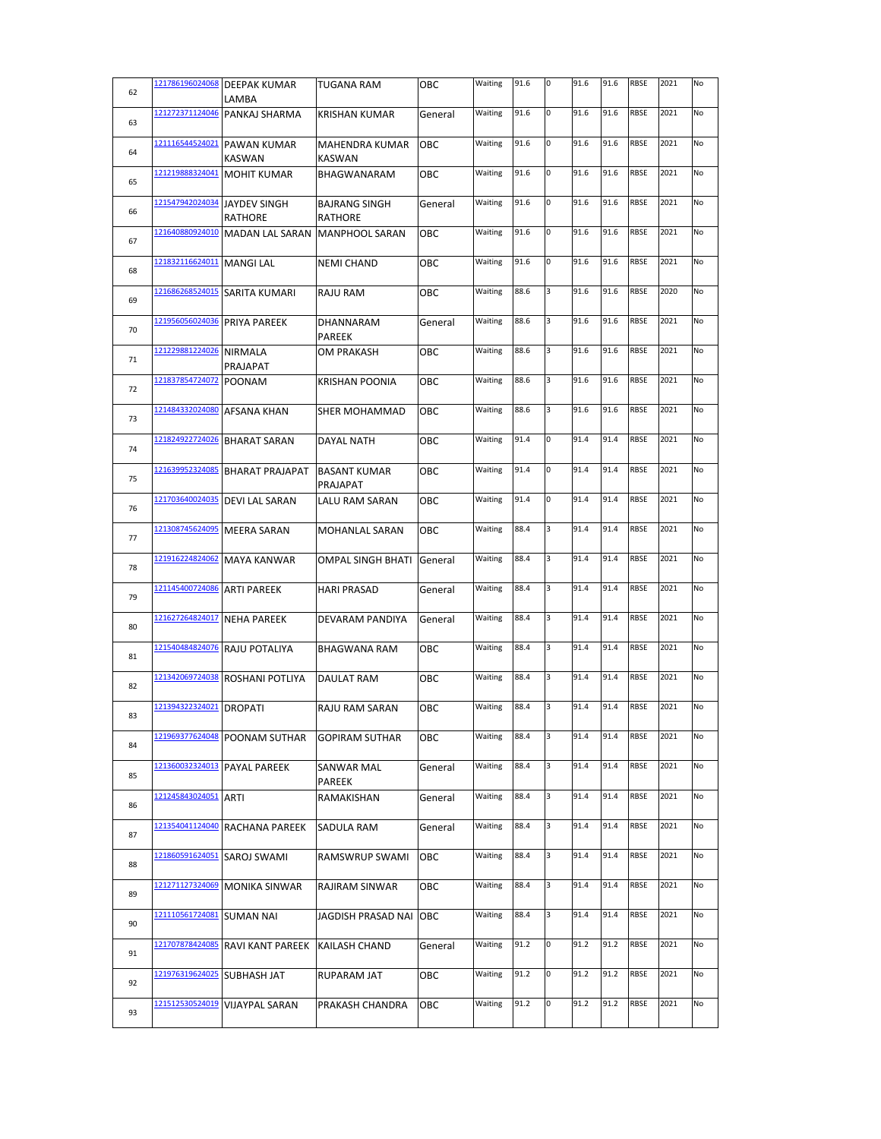| 62 | 121786196024068 | <b>DEEPAK KUMAR</b><br>LAMBA      | <b>TUGANA RAM</b>                       | OBC     | Waiting | 91.6 | 0 | 91.6 | 91.6 | <b>RBSE</b> | 2021 | No |
|----|-----------------|-----------------------------------|-----------------------------------------|---------|---------|------|---|------|------|-------------|------|----|
| 63 | 121272371124046 | PANKAJ SHARMA                     | <b>KRISHAN KUMAR</b>                    | General | Waiting | 91.6 | 0 | 91.6 | 91.6 | <b>RBSE</b> | 2021 | No |
| 64 | 121116544524021 | <b>PAWAN KUMAR</b>                | <b>MAHENDRA KUMAR</b>                   | OBC     | Waiting | 91.6 | 0 | 91.6 | 91.6 | <b>RBSE</b> | 2021 | No |
| 65 | 121219888324041 | KASWAN<br><b>MOHIT KUMAR</b>      | <b>KASWAN</b><br>BHAGWANARAM            | OBC     | Waiting | 91.6 | 0 | 91.6 | 91.6 | <b>RBSE</b> | 2021 | No |
| 66 | 121547942024034 | <b>JAYDEV SINGH</b>               | <b>BAJRANG SINGH</b>                    | General | Waiting | 91.6 | 0 | 91.6 | 91.6 | <b>RBSE</b> | 2021 | No |
| 67 | 121640880924010 | RATHORE<br><b>MADAN LAL SARAN</b> | <b>RATHORE</b><br><b>MANPHOOL SARAN</b> | OBC     | Waiting | 91.6 | 0 | 91.6 | 91.6 | <b>RBSE</b> | 2021 | No |
|    | 121832116624011 | <b>MANGI LAL</b>                  | <b>NEMI CHAND</b>                       | OBC     | Waiting | 91.6 | 0 | 91.6 | 91.6 | <b>RBSE</b> | 2021 | No |
| 68 | 121686268524015 | SARITA KUMARI                     | <b>RAJU RAM</b>                         | OBC     | Waiting | 88.6 | 3 | 91.6 | 91.6 | <b>RBSE</b> | 2020 | No |
| 69 | 121956056024036 | PRIYA PAREEK                      | DHANNARAM                               | General | Waiting | 88.6 | 3 | 91.6 | 91.6 | <b>RBSE</b> | 2021 | No |
| 70 | 121229881224026 | <b>NIRMALA</b>                    | PAREEK<br>OM PRAKASH                    | OBC     | Waiting | 88.6 | 3 | 91.6 | 91.6 | <b>RBSE</b> | 2021 | No |
| 71 |                 | PRAJAPAT                          |                                         |         |         |      |   |      |      |             |      |    |
| 72 | 121837854724072 | <b>POONAM</b>                     | <b>KRISHAN POONIA</b>                   | OBC     | Waiting | 88.6 | 3 | 91.6 | 91.6 | <b>RBSE</b> | 2021 | No |
| 73 | 121484332024080 | AFSANA KHAN                       | SHER MOHAMMAD                           | OBC     | Waiting | 88.6 | 3 | 91.6 | 91.6 | <b>RBSE</b> | 2021 | No |
| 74 | 121824922724026 | <b>BHARAT SARAN</b>               | <b>DAYAL NATH</b>                       | ОВС     | Waiting | 91.4 | 0 | 91.4 | 91.4 | <b>RBSE</b> | 2021 | No |
| 75 | 121639952324085 | <b>BHARAT PRAJAPAT</b>            | <b>BASANT KUMAR</b><br>PRAJAPAT         | OBC     | Waiting | 91.4 | 0 | 91.4 | 91.4 | <b>RBSE</b> | 2021 | No |
| 76 | 121703640024035 | <b>DEVI LAL SARAN</b>             | LALU RAM SARAN                          | OBC     | Waiting | 91.4 | 0 | 91.4 | 91.4 | <b>RBSE</b> | 2021 | No |
| 77 | 121308745624095 | <b>MEERA SARAN</b>                | <b>MOHANLAL SARAN</b>                   | OBC     | Waiting | 88.4 | 3 | 91.4 | 91.4 | <b>RBSE</b> | 2021 | No |
| 78 | 121916224824062 | <b>MAYA KANWAR</b>                | <b>OMPAL SINGH BHATI</b>                | General | Waiting | 88.4 | 3 | 91.4 | 91.4 | <b>RBSE</b> | 2021 | No |
| 79 | 121145400724086 | <b>ARTI PAREEK</b>                | <b>HARI PRASAD</b>                      | General | Waiting | 88.4 | 3 | 91.4 | 91.4 | <b>RBSE</b> | 2021 | No |
| 80 | 121627264824017 | <b>NEHA PAREEK</b>                | DEVARAM PANDIYA                         | General | Waiting | 88.4 | 3 | 91.4 | 91.4 | <b>RBSE</b> | 2021 | No |
| 81 | 121540484824076 | <b>RAJU POTALIYA</b>              | <b>BHAGWANA RAM</b>                     | ОВС     | Waiting | 88.4 | 3 | 91.4 | 91.4 | <b>RBSE</b> | 2021 | No |
| 82 | 121342069724038 | <b>ROSHANI POTLIYA</b>            | DAULAT RAM                              | ОВС     | Waiting | 88.4 | 3 | 91.4 | 91.4 | <b>RBSE</b> | 2021 | No |
| 83 | 121394322324021 | <b>DROPATI</b>                    | RAJU RAM SARAN                          | ОВС     | Waiting | 88.4 | 3 | 91.4 | 91.4 | <b>RBSE</b> | 2021 | No |
| 84 | 121969377624048 | POONAM SUTHAR                     | <b>GOPIRAM SUTHAR</b>                   | овс     | Waiting | 88.4 | 3 | 91.4 | 91.4 | <b>RBSE</b> | 2021 | No |
| 85 | 121360032324013 | PAYAL PAREEK                      | SANWAR MAL<br>PAREEK                    | General | Waiting | 88.4 | 3 | 91.4 | 91.4 | <b>RBSE</b> | 2021 | No |
| 86 | 121245843024051 | ARTI                              | RAMAKISHAN                              | General | Waiting | 88.4 | 3 | 91.4 | 91.4 | <b>RBSE</b> | 2021 | No |
| 87 | 121354041124040 | RACHANA PAREEK                    | SADULA RAM                              | General | Waiting | 88.4 | 3 | 91.4 | 91.4 | <b>RBSE</b> | 2021 | No |
| 88 | 121860591624051 | SAROJ SWAMI                       | RAMSWRUP SWAMI                          | ОВС     | Waiting | 88.4 | 3 | 91.4 | 91.4 | RBSE        | 2021 | No |
| 89 | 121271127324069 | <b>MONIKA SINWAR</b>              | RAJIRAM SINWAR                          | ОВС     | Waiting | 88.4 | з | 91.4 | 91.4 | <b>RBSE</b> | 2021 | No |
| 90 | 121110561724081 | <b>SUMAN NAI</b>                  | JAGDISH PRASAD NAI                      | OBC     | Waiting | 88.4 | 3 | 91.4 | 91.4 | RBSE        | 2021 | No |
| 91 | 121707878424085 | RAVI KANT PAREEK                  | KAILASH CHAND                           | General | Waiting | 91.2 | 0 | 91.2 | 91.2 | <b>RBSE</b> | 2021 | No |
| 92 | 121976319624025 | <b>SUBHASH JAT</b>                | RUPARAM JAT                             | ОВС     | Waiting | 91.2 | 0 | 91.2 | 91.2 | <b>RBSE</b> | 2021 | No |
| 93 | 121512530524019 | <b>VIJAYPAL SARAN</b>             | PRAKASH CHANDRA                         | OBC     | Waiting | 91.2 | 0 | 91.2 | 91.2 | <b>RBSE</b> | 2021 | No |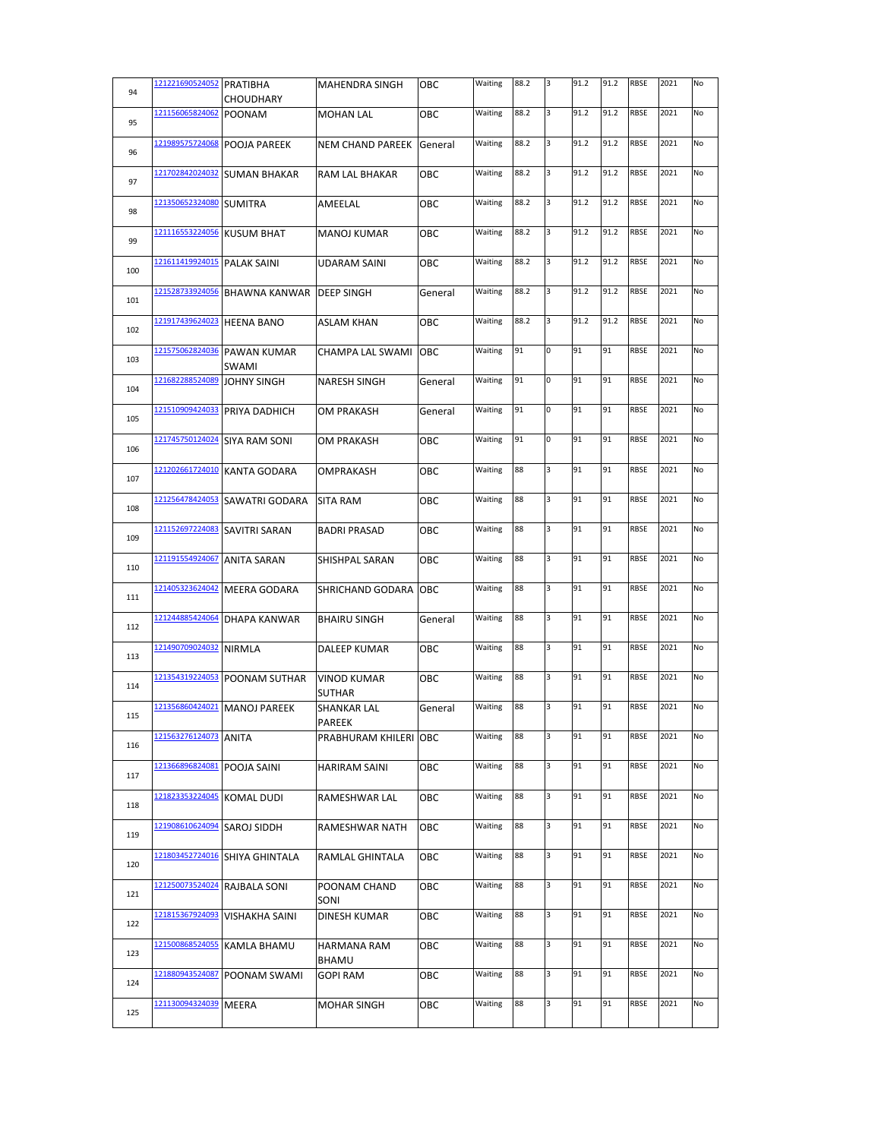| 94  | 121221690524052 PRATIBHA | <b>CHOUDHARY</b>                     | <b>MAHENDRA SINGH</b>               | ОВС     | Waiting | 88.2 | 3 | 91.2 | 91.2 | <b>RBSE</b> | 2021 | No |
|-----|--------------------------|--------------------------------------|-------------------------------------|---------|---------|------|---|------|------|-------------|------|----|
|     | 121156065824062          |                                      | <b>MOHAN LAL</b>                    |         | Waiting | 88.2 | 3 | 91.2 | 91.2 | RBSE        | 2021 | No |
| 95  |                          | <b>POONAM</b>                        |                                     | OBC     |         |      |   |      |      |             |      |    |
| 96  | 121989575724068          | <b>POOJA PAREEK</b>                  | NEM CHAND PAREEK                    | General | Waiting | 88.2 | 3 | 91.2 | 91.2 | <b>RBSE</b> | 2021 | No |
| 97  | 121702842024032          | <b>SUMAN BHAKAR</b>                  | RAM LAL BHAKAR                      | OBC     | Waiting | 88.2 | 3 | 91.2 | 91.2 | <b>RBSE</b> | 2021 | No |
| 98  | 121350652324080 SUMITRA  |                                      | AMEELAL                             | овс     | Waiting | 88.2 | 3 | 91.2 | 91.2 | <b>RBSE</b> | 2021 | No |
| 99  | 121116553224056          | <b>KUSUM BHAT</b>                    | <b>MANOJ KUMAR</b>                  | ОВС     | Waiting | 88.2 | 3 | 91.2 | 91.2 | <b>RBSE</b> | 2021 | No |
| 100 | 121611419924015          | <b>PALAK SAINI</b>                   | <b>UDARAM SAINI</b>                 | OBC     | Waiting | 88.2 | 3 | 91.2 | 91.2 | <b>RBSE</b> | 2021 | No |
| 101 | 121528733924056          | BHAWNA KANWAR   DEEP SINGH           |                                     | General | Waiting | 88.2 | 3 | 91.2 | 91.2 | <b>RBSE</b> | 2021 | No |
| 102 | 121917439624023          | <b>HEENA BANO</b>                    | <b>ASLAM KHAN</b>                   | OBC     | Waiting | 88.2 | 3 | 91.2 | 91.2 | <b>RBSE</b> | 2021 | No |
| 103 |                          | 121575062824036 PAWAN KUMAR<br>SWAMI | CHAMPA LAL SWAMI                    | OBC     | Waiting | 91   | 0 | 91   | 91   | <b>RBSE</b> | 2021 | No |
| 104 | 121682288524089          | <b>JOHNY SINGH</b>                   | <b>NARESH SINGH</b>                 | General | Waiting | 91   | 0 | 91   | 91   | <b>RBSE</b> | 2021 | No |
| 105 | 121510909424033          | PRIYA DADHICH                        | OM PRAKASH                          | General | Waiting | 91   | 0 | 91   | 91   | RBSE        | 2021 | No |
| 106 | 121745750124024          | <b>SIYA RAM SONI</b>                 | OM PRAKASH                          | ОВС     | Waiting | 91   | 0 | 91   | 91   | <b>RBSE</b> | 2021 | No |
| 107 |                          | 121202661724010 KANTA GODARA         | OMPRAKASH                           | ОВС     | Waiting | 88   | 3 | 91   | 91   | <b>RBSE</b> | 2021 | No |
| 108 | 121256478424053          | <b>SAWATRI GODARA</b>                | <b>SITA RAM</b>                     | OBC     | Waiting | 88   | 3 | 91   | 91   | <b>RBSE</b> | 2021 | No |
| 109 | 121152697224083          | <b>SAVITRI SARAN</b>                 | <b>BADRI PRASAD</b>                 | OBC     | Waiting | 88   | 3 | 91   | 91   | <b>RBSE</b> | 2021 | No |
| 110 | 121191554924067          | <b>ANITA SARAN</b>                   | SHISHPAL SARAN                      | OBC     | Waiting | 88   | 3 | 91   | 91   | RBSE        | 2021 | No |
| 111 | 121405323624042          | <b>MEERA GODARA</b>                  | SHRICHAND GODARA                    | OBC     | Waiting | 88   | 3 | 91   | 91   | <b>RBSE</b> | 2021 | No |
| 112 | 121244885424064          | DHAPA KANWAR                         | <b>BHAIRU SINGH</b>                 | General | Waiting | 88   | 3 | 91   | 91   | <b>RBSE</b> | 2021 | No |
| 113 | 121490709024032          | <b>NIRMLA</b>                        | DALEEP KUMAR                        | ОВС     | Waiting | 88   | 3 | 91   | 91   | <b>RBSE</b> | 2021 | No |
| 114 | 121354319224053          | POONAM SUTHAR                        | <b>VINOD KUMAR</b><br><b>SUTHAR</b> | ОВС     | Waiting | 88   | 3 | 91   | 91   | <b>RBSE</b> | 2021 | No |
| 115 | 121356860424021          | <b>MANOJ PAREEK</b>                  | <b>SHANKAR LAL</b><br>PAREEK        | General | Waiting | 88   | 3 | 91   | 91   | <b>RBSE</b> | 2021 | No |
| 116 | 121563276124073          | <b>ANITA</b>                         | PRABHURAM KHILERI OBC               |         | Waiting | 88   | 3 | 91   | 91   | RBSE        | 2021 | No |
| 117 | 121366896824081          | POOJA SAINI                          | <b>HARIRAM SAINI</b>                | OBC     | Waiting | 88   | 3 | 91   | 91   | RBSE        | 2021 | No |
| 118 | 121823353224045          | <b>KOMAL DUDI</b>                    | RAMESHWAR LAL                       | OBC     | Waiting | 88   | 3 | 91   | 91   | RBSE        | 2021 | No |
| 119 | 121908610624094          | <b>SAROJ SIDDH</b>                   | RAMESHWAR NATH                      | ОВС     | Waiting | 88   | 3 | 91   | 91   | RBSE        | 2021 | No |
| 120 | 121803452724016          | SHIYA GHINTALA                       | RAMLAL GHINTALA                     | OBC     | Waiting | 88   | 3 | 91   | 91   | RBSE        | 2021 | No |
| 121 | 121250073524024          | RAJBALA SONI                         | POONAM CHAND<br>SONI                | ОВС     | Waiting | 88   | 3 | 91   | 91   | RBSE        | 2021 | No |
| 122 | 121815367924093          | <b>VISHAKHA SAINI</b>                | DINESH KUMAR                        | ОВС     | Waiting | 88   | 3 | 91   | 91   | RBSE        | 2021 | No |
| 123 | 121500868524055          | KAMLA BHAMU                          | HARMANA RAM<br>BHAMU                | ОВС     | Waiting | 88   | 3 | 91   | 91   | <b>RBSE</b> | 2021 | No |
| 124 | 121880943524087          | POONAM SWAMI                         | <b>GOPI RAM</b>                     | ОВС     | Waiting | 88   | 3 | 91   | 91   | RBSE        | 2021 | No |
| 125 | 121130094324039          | <b>MEERA</b>                         | MOHAR SINGH                         | OBC     | Waiting | 88   | 3 | 91   | 91   | <b>RBSE</b> | 2021 | No |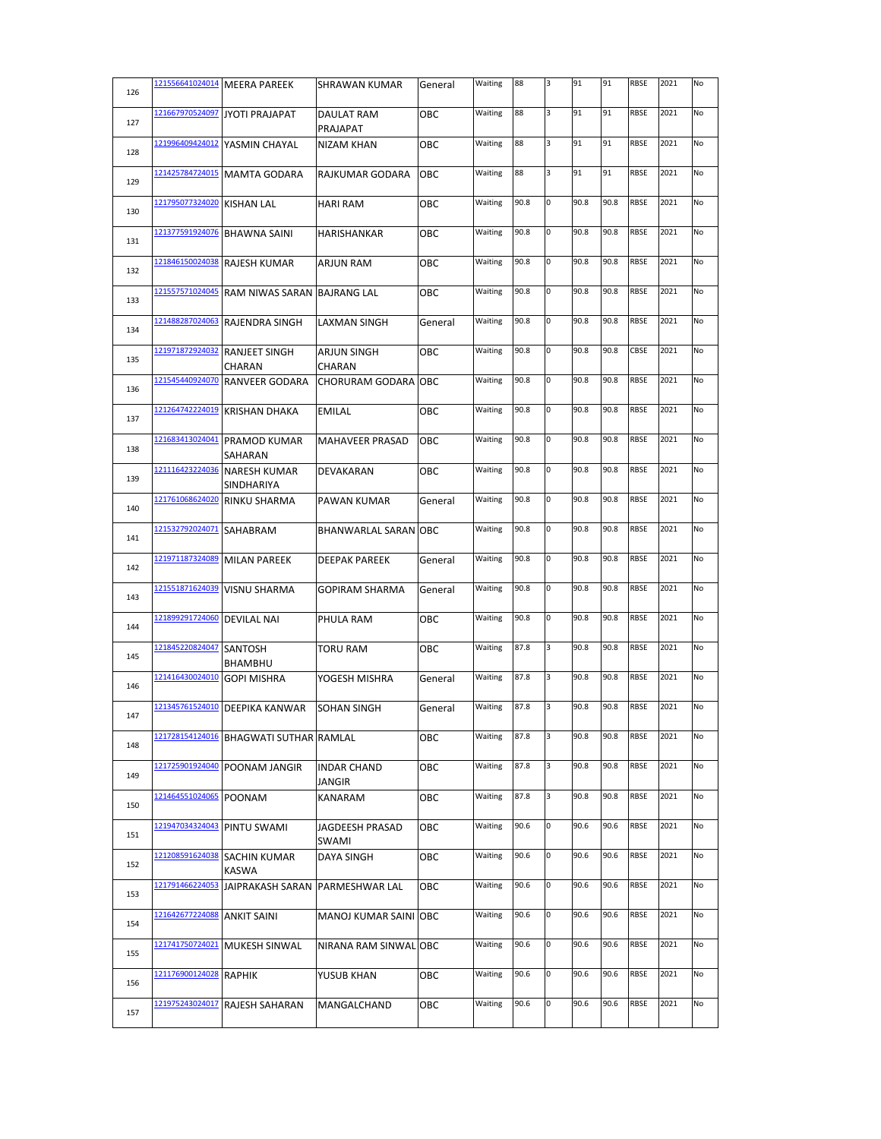| 126 |                 | 121556641024014 MEERA PAREEK               | SHRAWAN KUMAR                       | General | Waiting | 88   | 3 | 91   | 91   | <b>RBSE</b> | 2021 | No |
|-----|-----------------|--------------------------------------------|-------------------------------------|---------|---------|------|---|------|------|-------------|------|----|
| 127 | 121667970524097 | <b>JYOTI PRAJAPAT</b>                      | <b>DAULAT RAM</b><br>PRAJAPAT       | OBC     | Waiting | 88   | 3 | 91   | 91   | RBSE        | 2021 | No |
| 128 | 121996409424012 | YASMIN CHAYAL                              | NIZAM KHAN                          | ОВС     | Waiting | 88   | 3 | 91   | 91   | RBSE        | 2021 | No |
| 129 | 121425784724015 | <b>MAMTA GODARA</b>                        | RAJKUMAR GODARA                     | OBC     | Waiting | 88   | 3 | 91   | 91   | <b>RBSE</b> | 2021 | No |
| 130 | 121795077324020 | <b>KISHAN LAL</b>                          | <b>HARI RAM</b>                     | овс     | Waiting | 90.8 | 0 | 90.8 | 90.8 | <b>RBSE</b> | 2021 | No |
| 131 | 121377591924076 | <b>BHAWNA SAINI</b>                        | HARISHANKAR                         | ОВС     | Waiting | 90.8 | 0 | 90.8 | 90.8 | <b>RBSE</b> | 2021 | No |
| 132 | 121846150024038 | <b>RAJESH KUMAR</b>                        | <b>ARJUN RAM</b>                    | OBC     | Waiting | 90.8 | 0 | 90.8 | 90.8 | <b>RBSE</b> | 2021 | No |
| 133 | 121557571024045 | RAM NIWAS SARAN BAJRANG LAL                |                                     | OBC     | Waiting | 90.8 | 0 | 90.8 | 90.8 | <b>RBSE</b> | 2021 | No |
| 134 | 121488287024063 | <b>RAJENDRA SINGH</b>                      | LAXMAN SINGH                        | General | Waiting | 90.8 | 0 | 90.8 | 90.8 | <b>RBSE</b> | 2021 | No |
| 135 | 121971872924032 | <b>RANJEET SINGH</b><br>CHARAN             | <b>ARJUN SINGH</b><br>CHARAN        | ОВС     | Waiting | 90.8 | 0 | 90.8 | 90.8 | CBSE        | 2021 | No |
| 136 | 121545440924070 | <b>RANVEER GODARA</b>                      | <b>CHORURAM GODARA</b>              | OBC     | Waiting | 90.8 | 0 | 90.8 | 90.8 | RBSE        | 2021 | No |
| 137 | 121264742224019 | <b>KRISHAN DHAKA</b>                       | <b>EMILAL</b>                       | ОВС     | Waiting | 90.8 | 0 | 90.8 | 90.8 | <b>RBSE</b> | 2021 | No |
| 138 | 121683413024041 | <b>PRAMOD KUMAR</b><br>SAHARAN             | <b>MAHAVEER PRASAD</b>              | OBC     | Waiting | 90.8 | 0 | 90.8 | 90.8 | <b>RBSE</b> | 2021 | No |
| 139 |                 | 121116423224036 NARESH KUMAR<br>SINDHARIYA | DEVAKARAN                           | OBC     | Waiting | 90.8 | 0 | 90.8 | 90.8 | <b>RBSE</b> | 2021 | No |
| 140 | 121761068624020 | <b>RINKU SHARMA</b>                        | PAWAN KUMAR                         | General | Waiting | 90.8 | 0 | 90.8 | 90.8 | RBSE        | 2021 | No |
| 141 | 121532792024071 | SAHABRAM                                   | BHANWARLAL SARAN OBC                |         | Waiting | 90.8 | 0 | 90.8 | 90.8 | <b>RBSE</b> | 2021 | No |
| 142 | 121971187324089 | <b>MILAN PAREEK</b>                        | <b>DEEPAK PAREEK</b>                | General | Waiting | 90.8 | 0 | 90.8 | 90.8 | <b>RBSE</b> | 2021 | No |
| 143 | 121551871624039 | <b>VISNU SHARMA</b>                        | <b>GOPIRAM SHARMA</b>               | General | Waiting | 90.8 | 0 | 90.8 | 90.8 | RBSE        | 2021 | No |
| 144 | 121899291724060 | <b>DEVILAL NAI</b>                         | PHULA RAM                           | ОВС     | Waiting | 90.8 | 0 | 90.8 | 90.8 | <b>RBSE</b> | 2021 | No |
| 145 | 121845220824047 | <b>SANTOSH</b><br>BHAMBHU                  | <b>TORU RAM</b>                     | ОВС     | Waiting | 87.8 | 3 | 90.8 | 90.8 | <b>RBSE</b> | 2021 | No |
| 146 | 121416430024010 | <b>GOPI MISHRA</b>                         | YOGESH MISHRA                       | General | Waiting | 87.8 | 3 | 90.8 | 90.8 | <b>RBSE</b> | 2021 | No |
| 147 | 121345761524010 | <b>DEEPIKA KANWAR</b>                      | <b>SOHAN SINGH</b>                  | General | Waiting | 87.8 | 3 | 90.8 | 90.8 | <b>RBSE</b> | 2021 | No |
| 148 | 121728154124016 | <b>BHAGWATI SUTHAR RAMLAL</b>              |                                     | OBC     | Waiting | 87.8 | 3 | 90.8 | 90.8 | RBSE        | 2021 | No |
| 149 | 121725901924040 | POONAM JANGIR                              | <b>INDAR CHAND</b><br><b>JANGIR</b> | ОВС     | Waiting | 87.8 | 3 | 90.8 | 90.8 | RBSE        | 2021 | No |
| 150 | 121464551024065 | <b>POONAM</b>                              | KANARAM                             | ОВС     | Waiting | 87.8 | 3 | 90.8 | 90.8 | RBSE        | 2021 | No |
| 151 | 121947034324043 | PINTU SWAMI                                | JAGDEESH PRASAD<br>SWAMI            | ОВС     | Waiting | 90.6 | 0 | 90.6 | 90.6 | <b>RBSE</b> | 2021 | No |
| 152 | 121208591624038 | <b>SACHIN KUMAR</b><br><b>KASWA</b>        | DAYA SINGH                          | ОВС     | Waiting | 90.6 | 0 | 90.6 | 90.6 | RBSE        | 2021 | No |
| 153 | 121791466224053 | <b>JAIPRAKASH SARAN</b>                    | PARMESHWAR LAL                      | ОВС     | Waiting | 90.6 | 0 | 90.6 | 90.6 | <b>RBSE</b> | 2021 | No |
| 154 | 121642677224088 | <b>ANKIT SAINI</b>                         | MANOJ KUMAR SAINI                   | OBC     | Waiting | 90.6 | O | 90.6 | 90.6 | <b>RBSE</b> | 2021 | No |
| 155 | 121741750724021 | <b>MUKESH SINWAL</b>                       | NIRANA RAM SINWAL OBC               |         | Waiting | 90.6 | 0 | 90.6 | 90.6 | <b>RBSE</b> | 2021 | No |
| 156 | 121176900124028 | <b>RAPHIK</b>                              | YUSUB KHAN                          | ОВС     | Waiting | 90.6 | 0 | 90.6 | 90.6 | <b>RBSE</b> | 2021 | No |
| 157 | 121975243024017 | RAJESH SAHARAN                             | MANGALCHAND                         | OBC     | Waiting | 90.6 | 0 | 90.6 | 90.6 | RBSE        | 2021 | No |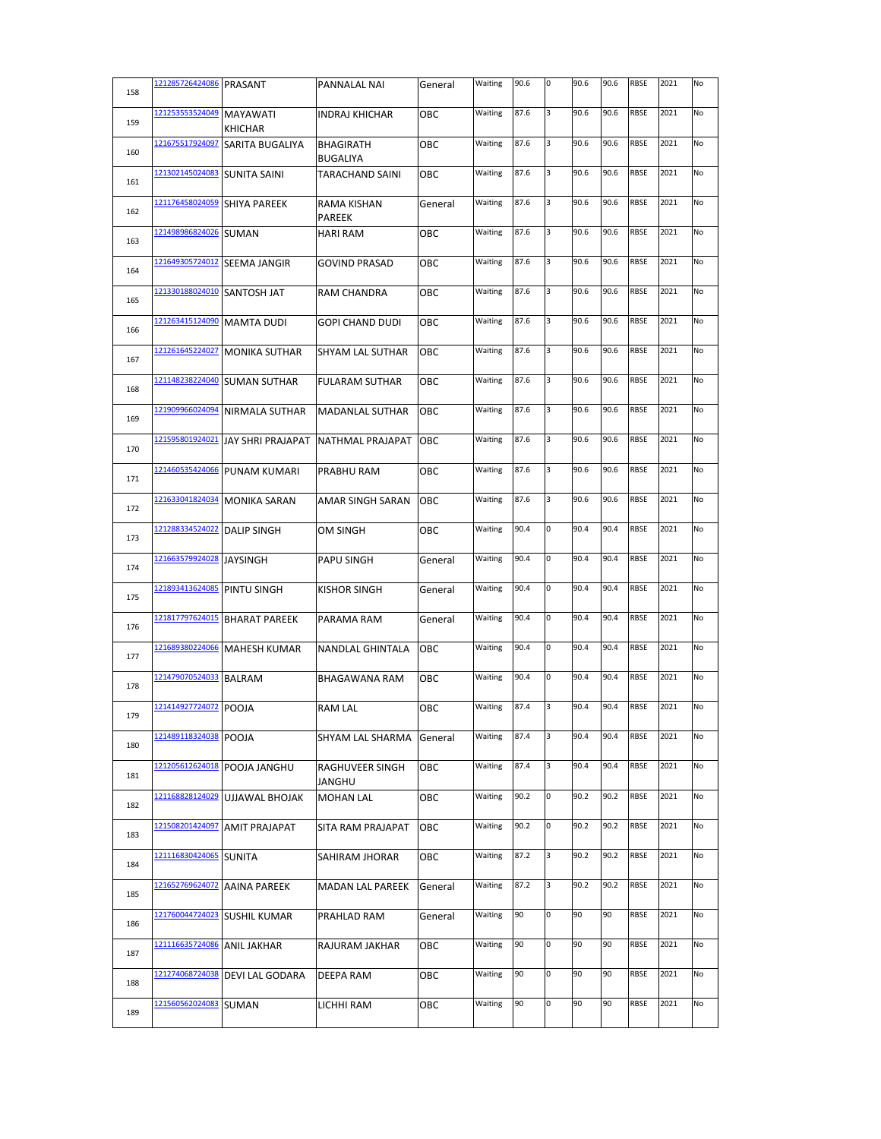| 158 | 121285726424086 | <b>PRASANT</b>                    | PANNALAL NAI                 | General | Waiting | 90.6 | O | 90.6 | 90.6 | <b>RBSE</b> | 2021 | No |
|-----|-----------------|-----------------------------------|------------------------------|---------|---------|------|---|------|------|-------------|------|----|
| 159 | 121253553524049 | <b>MAYAWATI</b><br><b>KHICHAR</b> | <b>INDRAJ KHICHAR</b>        | ОВС     | Waiting | 87.6 | 3 | 90.6 | 90.6 | <b>RBSE</b> | 2021 | No |
| 160 | 121675517924097 | SARITA BUGALIYA                   | BHAGIRATH<br><b>BUGALIYA</b> | ОВС     | Waiting | 87.6 | 3 | 90.6 | 90.6 | <b>RBSE</b> | 2021 | No |
| 161 | 121302145024083 | <b>SUNITA SAINI</b>               | <b>TARACHAND SAINI</b>       | OBC     | Waiting | 87.6 | 3 | 90.6 | 90.6 | <b>RBSE</b> | 2021 | No |
| 162 | 121176458024059 | <b>SHIYA PAREEK</b>               | RAMA KISHAN<br><b>PAREEK</b> | General | Waiting | 87.6 | 3 | 90.6 | 90.6 | <b>RBSE</b> | 2021 | No |
| 163 | 121498986824026 | <b>SUMAN</b>                      | <b>HARI RAM</b>              | OBC     | Waiting | 87.6 | 3 | 90.6 | 90.6 | <b>RBSE</b> | 2021 | No |
| 164 | 121649305724012 | <b>SEEMA JANGIR</b>               | <b>GOVIND PRASAD</b>         | OBC     | Waiting | 87.6 | 3 | 90.6 | 90.6 | <b>RBSE</b> | 2021 | No |
| 165 | 121330188024010 | <b>SANTOSH JAT</b>                | <b>RAM CHANDRA</b>           | OBC     | Waiting | 87.6 | 3 | 90.6 | 90.6 | <b>RBSE</b> | 2021 | No |
| 166 | 121263415124090 | <b>MAMTA DUDI</b>                 | <b>GOPI CHAND DUDI</b>       | OBC     | Waiting | 87.6 | 3 | 90.6 | 90.6 | <b>RBSE</b> | 2021 | No |
| 167 | 121261645224027 | <b>MONIKA SUTHAR</b>              | SHYAM LAL SUTHAR             | OBC     | Waiting | 87.6 | 3 | 90.6 | 90.6 | <b>RBSE</b> | 2021 | No |
| 168 | 121148238224040 | <b>SUMAN SUTHAR</b>               | <b>FULARAM SUTHAR</b>        | ОВС     | Waiting | 87.6 | 3 | 90.6 | 90.6 | <b>RBSE</b> | 2021 | No |
| 169 | 121909966024094 | <b>NIRMALA SUTHAR</b>             | <b>MADANLAL SUTHAR</b>       | OBC     | Waiting | 87.6 | 3 | 90.6 | 90.6 | RBSE        | 2021 | No |
| 170 | 121595801924021 | <b>JAY SHRI PRAJAPAT</b>          | NATHMAL PRAJAPAT             | OBC     | Waiting | 87.6 | 3 | 90.6 | 90.6 | <b>RBSE</b> | 2021 | No |
| 171 | 121460535424066 | <b>PUNAM KUMARI</b>               | PRABHU RAM                   | OBC     | Waiting | 87.6 | 3 | 90.6 | 90.6 | <b>RBSE</b> | 2021 | No |
| 172 | 121633041824034 | <b>MONIKA SARAN</b>               | AMAR SINGH SARAN             | OBC     | Waiting | 87.6 | 3 | 90.6 | 90.6 | <b>RBSE</b> | 2021 | No |
| 173 | 121288334524022 | <b>DALIP SINGH</b>                | <b>OM SINGH</b>              | OBC     | Waiting | 90.4 | 0 | 90.4 | 90.4 | <b>RBSE</b> | 2021 | No |
| 174 | 121663579924028 | <b>JAYSINGH</b>                   | <b>PAPU SINGH</b>            | General | Waiting | 90.4 | 0 | 90.4 | 90.4 | <b>RBSE</b> | 2021 | No |
| 175 | 121893413624085 | <b>PINTU SINGH</b>                | <b>KISHOR SINGH</b>          | General | Waiting | 90.4 | 0 | 90.4 | 90.4 | <b>RBSE</b> | 2021 | No |
| 176 | 121817797624015 | <b>BHARAT PAREEK</b>              | PARAMA RAM                   | General | Waiting | 90.4 | 0 | 90.4 | 90.4 | <b>RBSE</b> | 2021 | No |
| 177 | 121689380224066 | <b>MAHESH KUMAR</b>               | <b>NANDLAL GHINTALA</b>      | OBC     | Waiting | 90.4 | 0 | 90.4 | 90.4 | RBSE        | 2021 | No |
| 178 | 121479070524033 | <b>BALRAM</b>                     | BHAGAWANA RAM                | ОВС     | Waiting | 90.4 | 0 | 90.4 | 90.4 | <b>RBSE</b> | 2021 | No |
| 179 | 121414927724072 | <b>POOJA</b>                      | <b>RAM LAL</b>               | ОВС     | Waiting | 87.4 | 3 | 90.4 | 90.4 | <b>RBSE</b> | 2021 | No |
| 180 | 121489118324038 | POOJA                             | SHYAM LAL SHARMA             | General | Waiting | 87.4 | 3 | 90.4 | 90.4 | RBSE        | 2021 | No |
| 181 | 121205612624018 | POOJA JANGHU                      | RAGHUVEER SINGH<br>JANGHU    | OBC     | Waiting | 87.4 | 3 | 90.4 | 90.4 | RBSE        | 2021 | No |
| 182 | 121168828124029 | <b>UJJAWAL BHOJAK</b>             | <b>MOHAN LAL</b>             | ОВС     | Waiting | 90.2 | 0 | 90.2 | 90.2 | RBSE        | 2021 | No |
| 183 | 121508201424097 | <b>AMIT PRAJAPAT</b>              | SITA RAM PRAJAPAT            | ОВС     | Waiting | 90.2 | 0 | 90.2 | 90.2 | RBSE        | 2021 | No |
| 184 | 121116830424065 | <b>SUNITA</b>                     | SAHIRAM JHORAR               | ОВС     | Waiting | 87.2 | 3 | 90.2 | 90.2 | <b>RBSE</b> | 2021 | No |
| 185 | 121652769624072 | <b>AAINA PAREEK</b>               | MADAN LAL PAREEK             | General | Waiting | 87.2 | 3 | 90.2 | 90.2 | RBSE        | 2021 | No |
| 186 | 121760044724023 | <b>SUSHIL KUMAR</b>               | PRAHLAD RAM                  | General | Waiting | 90   | 0 | 90   | 90   | RBSE        | 2021 | No |
| 187 | 121116635724086 | ANIL JAKHAR                       | RAJURAM JAKHAR               | ОВС     | Waiting | 90   | 0 | 90   | 90   | RBSE        | 2021 | No |
| 188 | 121274068724038 | DEVI LAL GODARA                   | DEEPA RAM                    | ОВС     | Waiting | 90   | 0 | 90   | 90   | RBSE        | 2021 | No |
| 189 | 121560562024083 | <b>SUMAN</b>                      | LICHHI RAM                   | ОВС     | Waiting | 90   | 0 | 90   | 90   | RBSE        | 2021 | No |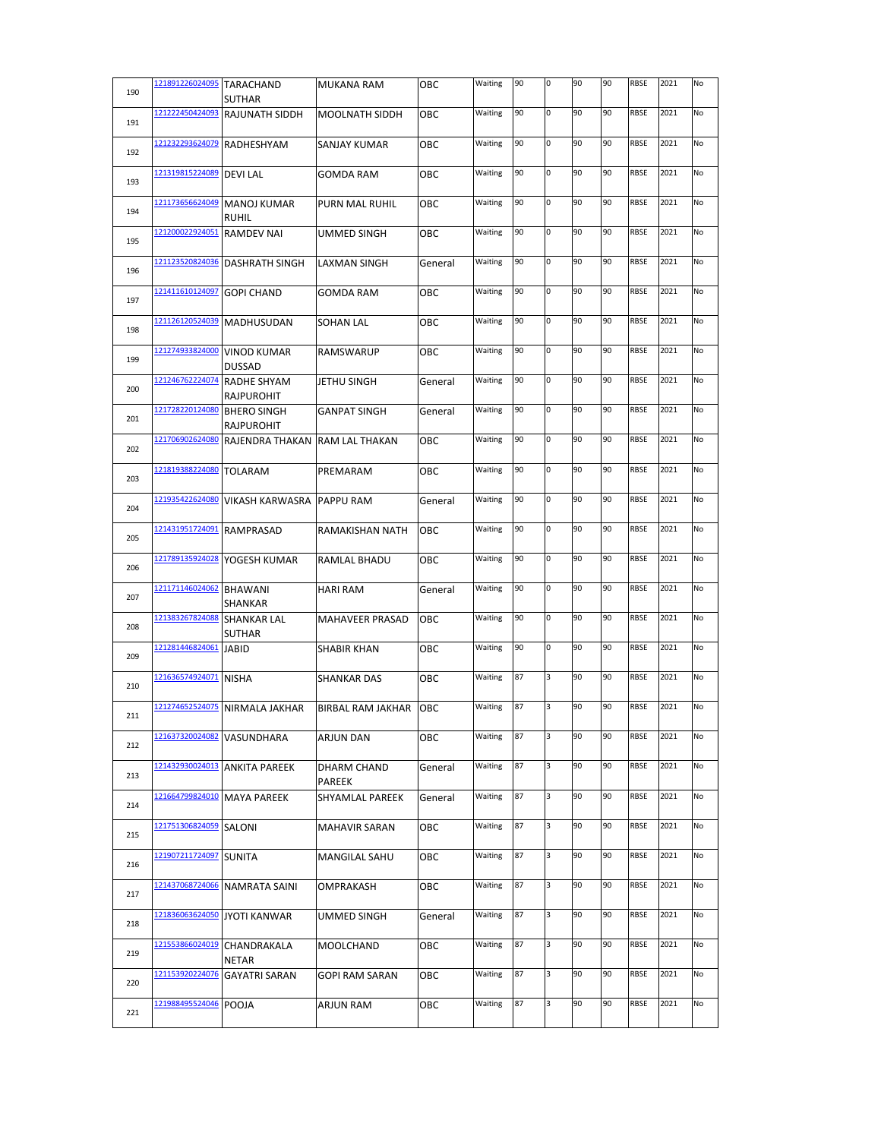| 190 | 121891226024095 | <b>TARACHAND</b><br><b>SUTHAR</b>       | <b>MUKANA RAM</b>        | OBC        | Waiting | 90 | 0           | 90 | 90 | <b>RBSE</b> | 2021 | No |
|-----|-----------------|-----------------------------------------|--------------------------|------------|---------|----|-------------|----|----|-------------|------|----|
| 191 | 121222450424093 | <b>RAJUNATH SIDDH</b>                   | <b>MOOLNATH SIDDH</b>    | OBC        | Waiting | 90 | 0           | 90 | 90 | <b>RBSE</b> | 2021 | No |
| 192 | 121232293624079 | RADHESHYAM                              | SANJAY KUMAR             | OBC        | Waiting | 90 | 0           | 90 | 90 | RBSE        | 2021 | No |
| 193 | 121319815224089 | <b>DEVILAL</b>                          | <b>GOMDA RAM</b>         | OBC        | Waiting | 90 | $\mathbf 0$ | 90 | 90 | <b>RBSE</b> | 2021 | No |
| 194 | 121173656624049 | <b>MANOJ KUMAR</b><br><b>RUHIL</b>      | <b>PURN MAL RUHIL</b>    | OBC        | Waiting | 90 | 0           | 90 | 90 | <b>RBSE</b> | 2021 | No |
| 195 | 121200022924051 | <b>RAMDEV NAI</b>                       | <b>UMMED SINGH</b>       | OBC        | Waiting | 90 | 0           | 90 | 90 | <b>RBSE</b> | 2021 | No |
| 196 | 121123520824036 | <b>DASHRATH SINGH</b>                   | <b>LAXMAN SINGH</b>      | General    | Waiting | 90 | 0           | 90 | 90 | <b>RBSE</b> | 2021 | No |
| 197 | 121411610124097 | <b>GOPI CHAND</b>                       | <b>GOMDA RAM</b>         | OBC        | Waiting | 90 | 0           | 90 | 90 | <b>RBSE</b> | 2021 | No |
| 198 | 121126120524039 | <b>MADHUSUDAN</b>                       | <b>SOHAN LAL</b>         | OBC        | Waiting | 90 | 0           | 90 | 90 | <b>RBSE</b> | 2021 | No |
| 199 | 121274933824000 | <b>VINOD KUMAR</b><br><b>DUSSAD</b>     | <b>RAMSWARUP</b>         | OBC        | Waiting | 90 | 0           | 90 | 90 | RBSE        | 2021 | No |
| 200 | 121246762224074 | <b>RADHE SHYAM</b><br><b>RAJPUROHIT</b> | JETHU SINGH              | General    | Waiting | 90 | 0           | 90 | 90 | <b>RBSE</b> | 2021 | No |
| 201 | 121728220124080 | <b>BHERO SINGH</b><br><b>RAJPUROHIT</b> | <b>GANPAT SINGH</b>      | General    | Waiting | 90 | 0           | 90 | 90 | RBSE        | 2021 | No |
| 202 | 121706902624080 | RAJENDRA THAKAN                         | <b>RAM LAL THAKAN</b>    | OBC        | Waiting | 90 | 0           | 90 | 90 | <b>RBSE</b> | 2021 | No |
| 203 | 121819388224080 | <b>TOLARAM</b>                          | PREMARAM                 | OBC        | Waiting | 90 | 0           | 90 | 90 | <b>RBSE</b> | 2021 | No |
| 204 | 121935422624080 | <b>VIKASH KARWASRA</b>                  | <b>PAPPU RAM</b>         | General    | Waiting | 90 | 0           | 90 | 90 | <b>RBSE</b> | 2021 | No |
| 205 | 121431951724091 | <b>RAMPRASAD</b>                        | <b>RAMAKISHAN NATH</b>   | OBC        | Waiting | 90 | 0           | 90 | 90 | <b>RBSE</b> | 2021 | No |
| 206 | 121789135924028 | YOGESH KUMAR                            | RAMLAL BHADU             | OBC        | Waiting | 90 | 0           | 90 | 90 | RBSE        | 2021 | No |
| 207 | 121171146024062 | <b>BHAWANI</b><br><b>SHANKAR</b>        | <b>HARI RAM</b>          | General    | Waiting | 90 | O           | 90 | 90 | <b>RBSE</b> | 2021 | No |
| 208 | 121383267824088 | <b>SHANKAR LAL</b><br><b>SUTHAR</b>     | <b>MAHAVEER PRASAD</b>   | ОВС        | Waiting | 90 | 0           | 90 | 90 | <b>RBSE</b> | 2021 | No |
| 209 | 121281446824061 | <b>JABID</b>                            | <b>SHABIR KHAN</b>       | OBC        | Waiting | 90 | O           | 90 | 90 | RBSE        | 2021 | No |
| 210 | 121636574924071 | <b>NISHA</b>                            | <b>SHANKAR DAS</b>       | OBC        | Waiting | 87 | 3           | 90 | 90 | <b>RBSE</b> | 2021 | No |
| 211 | 121274652524075 | NIRMALA JAKHAR                          | <b>BIRBAL RAM JAKHAR</b> | <b>OBC</b> | Waiting | 87 | 3           | 90 | 90 | RBSE        | 2021 | No |
| 212 | 121637320024082 | <b>VASUNDHARA</b>                       | <b>ARJUN DAN</b>         | ОВС        | Waiting | 87 | 3           | 90 | 90 | RBSE        | 2021 | No |
| 213 | 121432930024013 | <b>ANKITA PAREEK</b>                    | DHARM CHAND<br>PAREEK    | General    | Waiting | 87 | 3           | 90 | 90 | RBSE        | 2021 | No |
| 214 | 121664799824010 | <b>MAYA PAREEK</b>                      | SHYAMLAL PAREEK          | General    | Waiting | 87 | 3           | 90 | 90 | <b>RBSE</b> | 2021 | No |
| 215 | 121751306824059 | SALONI                                  | <b>MAHAVIR SARAN</b>     | OBC        | Waiting | 87 | 3           | 90 | 90 | RBSE        | 2021 | No |
| 216 | 121907211724097 | <b>SUNITA</b>                           | <b>MANGILAL SAHU</b>     | ОВС        | Waiting | 87 | 3           | 90 | 90 | <b>RBSE</b> | 2021 | No |
| 217 | 121437068724066 | NAMRATA SAINI                           | OMPRAKASH                | OBC        | Waiting | 87 | 3           | 90 | 90 | <b>RBSE</b> | 2021 | No |
| 218 | 121836063624050 | <b>JYOTI KANWAR</b>                     | UMMED SINGH              | General    | Waiting | 87 | 3           | 90 | 90 | RBSE        | 2021 | No |
| 219 | 121553866024019 | CHANDRAKALA<br>NETAR                    | MOOLCHAND                | OBC        | Waiting | 87 | 3           | 90 | 90 | <b>RBSE</b> | 2021 | No |
| 220 | 121153920224076 | <b>GAYATRI SARAN</b>                    | GOPI RAM SARAN           | OBC        | Waiting | 87 | 3           | 90 | 90 | RBSE        | 2021 | No |
| 221 | 121988495524046 | <b>POOJA</b>                            | <b>ARJUN RAM</b>         | OBC        | Waiting | 87 | 3           | 90 | 90 | <b>RBSE</b> | 2021 | No |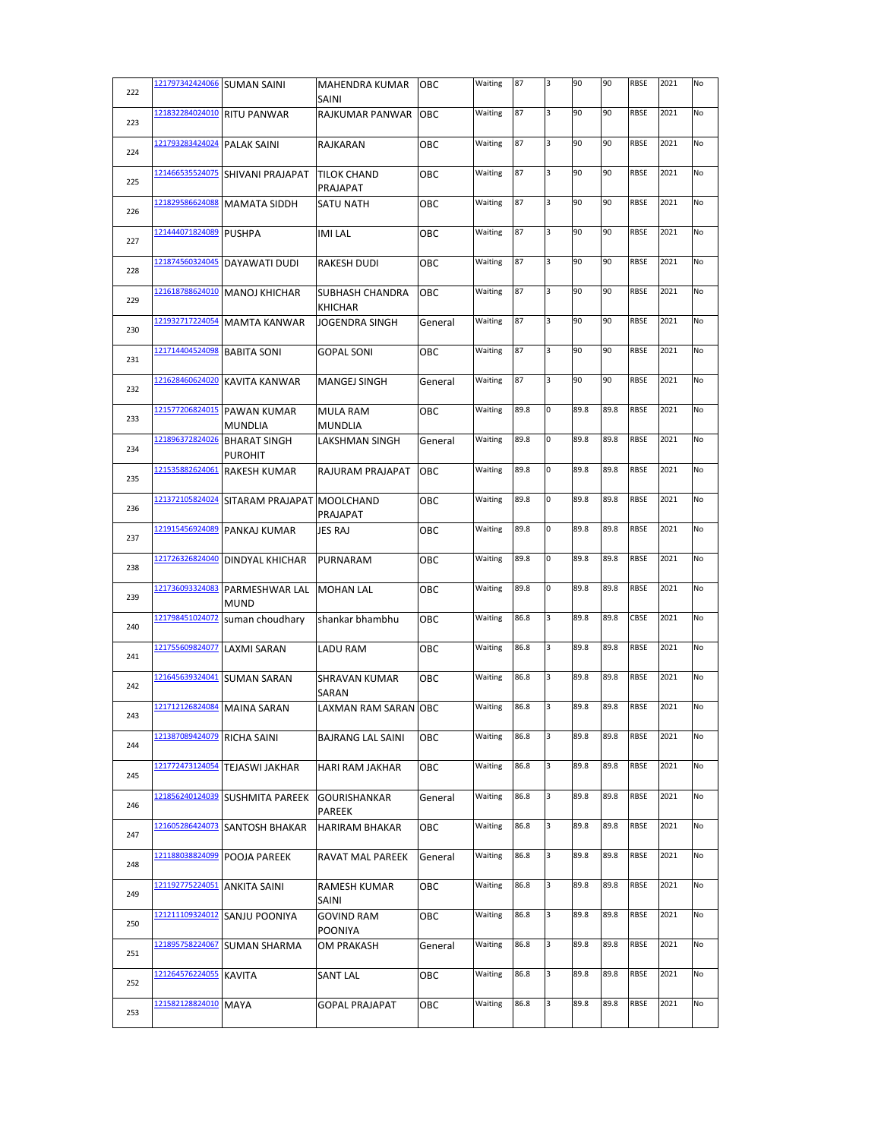| 222 | 121797342424066 SUMAN SAINI |                                               | MAHENDRA KUMAR<br><b>SAINI</b>    | ОВС     | Waiting | 87   | 3 | 90   | 90   | <b>RBSE</b> | 2021 | No |
|-----|-----------------------------|-----------------------------------------------|-----------------------------------|---------|---------|------|---|------|------|-------------|------|----|
| 223 | 121832284024010             | <b>RITU PANWAR</b>                            | RAJKUMAR PANWAR                   | OBC     | Waiting | 87   | 3 | 90   | 90   | RBSE        | 2021 | No |
| 224 | 121793283424024             | <b>PALAK SAINI</b>                            | RAJKARAN                          | ОВС     | Waiting | 87   | 3 | 90   | 90   | RBSE        | 2021 | No |
| 225 | 121466535524075             | SHIVANI PRAJAPAT                              | <b>TILOK CHAND</b><br>PRAJAPAT    | ОВС     | Waiting | 87   | 3 | 90   | 90   | RBSE        | 2021 | No |
| 226 | 121829586624088             | <b>MAMATA SIDDH</b>                           | SATU NATH                         | ОВС     | Waiting | 87   | 3 | 90   | 90   | <b>RBSE</b> | 2021 | No |
| 227 | 121444071824089             | <b>PUSHPA</b>                                 | <b>IMI LAL</b>                    | ОВС     | Waiting | 87   | 3 | 90   | 90   | <b>RBSE</b> | 2021 | No |
| 228 | 121874560324045             | DAYAWATI DUDI                                 | <b>RAKESH DUDI</b>                | ОВС     | Waiting | 87   | 3 | 90   | 90   | RBSE        | 2021 | No |
| 229 | 121618788624010             | <b>MANOJ KHICHAR</b>                          | SUBHASH CHANDRA<br><b>KHICHAR</b> | OBC     | Waiting | 87   | 3 | 90   | 90   | <b>RBSE</b> | 2021 | No |
| 230 | 121932717224054             | <b>MAMTA KANWAR</b>                           | <b>JOGENDRA SINGH</b>             | General | Waiting | 87   | 3 | 90   | 90   | <b>RBSE</b> | 2021 | No |
| 231 | 121714404524098             | <b>BABITA SONI</b>                            | <b>GOPAL SONI</b>                 | OBC     | Waiting | 87   | 3 | 90   | 90   | RBSE        | 2021 | No |
| 232 | 121628460624020             | <b>KAVITA KANWAR</b>                          | <b>MANGEJ SINGH</b>               | General | Waiting | 87   | 3 | 90   | 90   | RBSE        | 2021 | No |
| 233 |                             | 121577206824015 PAWAN KUMAR<br><b>MUNDLIA</b> | <b>MULA RAM</b><br><b>MUNDLIA</b> | овс     | Waiting | 89.8 | 0 | 89.8 | 89.8 | <b>RBSE</b> | 2021 | No |
| 234 | 121896372824026             | <b>BHARAT SINGH</b><br><b>PUROHIT</b>         | LAKSHMAN SINGH                    | General | Waiting | 89.8 | 0 | 89.8 | 89.8 | RBSE        | 2021 | No |
| 235 | 121535882624061             | <b>RAKESH KUMAR</b>                           | <b>RAJURAM PRAJAPAT</b>           | OBC     | Waiting | 89.8 | 0 | 89.8 | 89.8 | <b>RBSE</b> | 2021 | No |
| 236 | 121372105824024             | SITARAM PRAJAPAT                              | <b>MOOLCHAND</b><br>PRAJAPAT      | OBC     | Waiting | 89.8 | 0 | 89.8 | 89.8 | <b>RBSE</b> | 2021 | No |
| 237 | 121915456924089             | <b>PANKAJ KUMAR</b>                           | JES RAJ                           | ОВС     | Waiting | 89.8 | 0 | 89.8 | 89.8 | <b>RBSE</b> | 2021 | No |
| 238 | 121726326824040             | <b>DINDYAL KHICHAR</b>                        | PURNARAM                          | OBC     | Waiting | 89.8 | 0 | 89.8 | 89.8 | RBSE        | 2021 | No |
| 239 | 121736093324083             | PARMESHWAR LAL<br><b>MUND</b>                 | <b>MOHAN LAL</b>                  | OBC     | Waiting | 89.8 | 0 | 89.8 | 89.8 | <b>RBSE</b> | 2021 | No |
| 240 | 121798451024072             | suman choudhary                               | shankar bhambhu                   | ОВС     | Waiting | 86.8 | 3 | 89.8 | 89.8 | CBSE        | 2021 | No |
| 241 | 121755609824077             | <b>LAXMI SARAN</b>                            | LADU RAM                          | ОВС     | Waiting | 86.8 | 3 | 89.8 | 89.8 | <b>RBSE</b> | 2021 | No |
| 242 | 121645639324041             | <b>SUMAN SARAN</b>                            | <b>SHRAVAN KUMAR</b><br>SARAN     | ОВС     | Waiting | 86.8 | 3 | 89.8 | 89.8 | RBSE        | 2021 | No |
| 243 | 121712126824084             | <b>MAINA SARAN</b>                            | LAXMAN RAM SARAN OBC              |         | Waiting | 86.8 | 3 | 89.8 | 89.8 | <b>RBSE</b> | 2021 | No |
| 244 | 121387089424079             | RICHA SAINI                                   | <b>BAJRANG LAL SAINI</b>          | OBC     | Waiting | 86.8 | 3 | 89.8 | 89.8 | <b>RBSE</b> | 2021 | No |
| 245 | 121772473124054             | <b>TEJASWI JAKHAR</b>                         | HARI RAM JAKHAR                   | OBC     | Waiting | 86.8 | 3 | 89.8 | 89.8 | RBSE        | 2021 | No |
| 246 | 121856240124039             | <b>SUSHMITA PAREEK</b>                        | <b>GOURISHANKAR</b><br>PAREEK     | General | Waiting | 86.8 | 3 | 89.8 | 89.8 | RBSE        | 2021 | No |
| 247 | 121605286424073             | <b>SANTOSH BHAKAR</b>                         | <b>HARIRAM BHAKAR</b>             | ОВС     | Waiting | 86.8 | 3 | 89.8 | 89.8 | RBSE        | 2021 | No |
| 248 | 121188038824099             | POOJA PAREEK                                  | RAVAT MAL PAREEK                  | General | Waiting | 86.8 | 3 | 89.8 | 89.8 | RBSE        | 2021 | No |
| 249 | 121192775224051             | <b>ANKITA SAINI</b>                           | RAMESH KUMAR<br>SAINI             | ОВС     | Waiting | 86.8 | 3 | 89.8 | 89.8 | <b>RBSE</b> | 2021 | No |
| 250 | 121211109324012             | SANJU POONIYA                                 | <b>GOVIND RAM</b><br>POONIYA      | ОВС     | Waiting | 86.8 | 3 | 89.8 | 89.8 | RBSE        | 2021 | No |
| 251 | 121895758224067             | <b>SUMAN SHARMA</b>                           | OM PRAKASH                        | General | Waiting | 86.8 | 3 | 89.8 | 89.8 | <b>RBSE</b> | 2021 | No |
| 252 | 121264576224055             | <b>KAVITA</b>                                 | <b>SANT LAL</b>                   | ОВС     | Waiting | 86.8 | 3 | 89.8 | 89.8 | RBSE        | 2021 | No |
| 253 | 121582128824010             | <b>MAYA</b>                                   | <b>GOPAL PRAJAPAT</b>             | OBC     | Waiting | 86.8 | 3 | 89.8 | 89.8 | RBSE        | 2021 | No |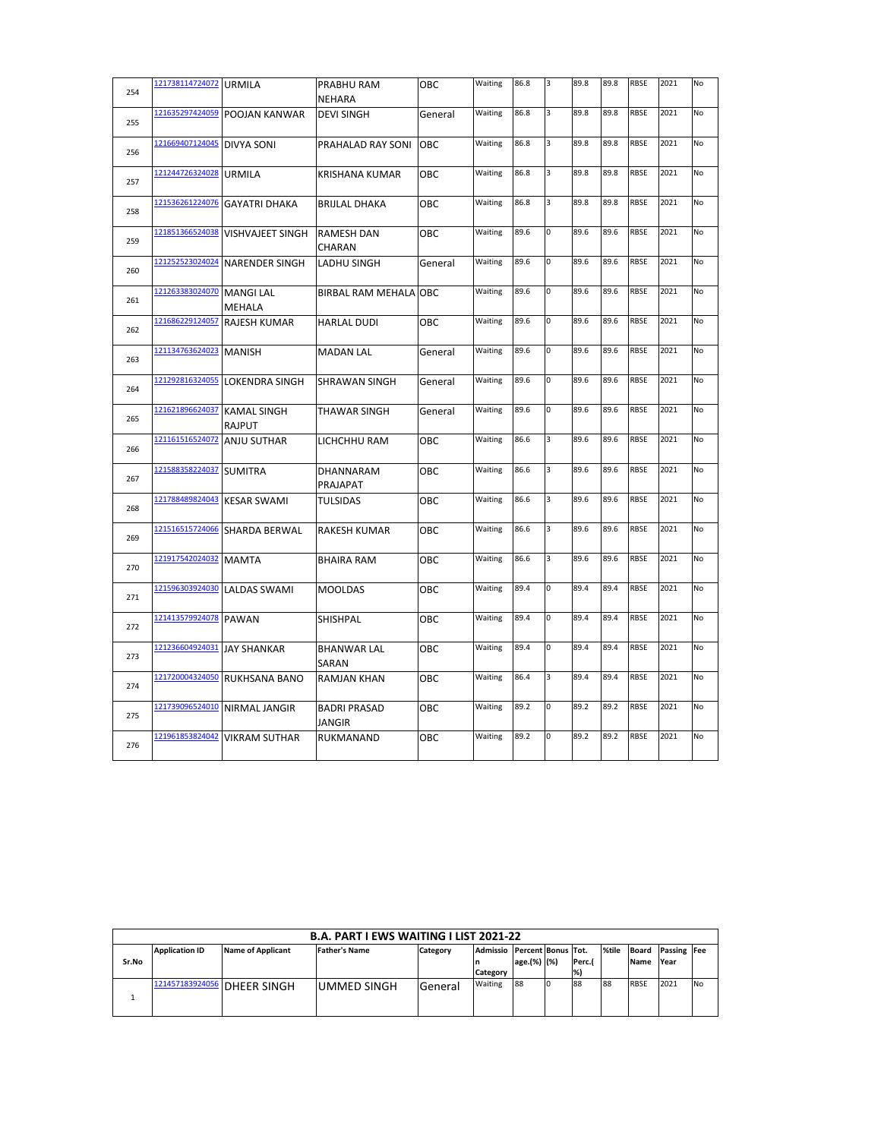| 254 | 121738114724072 | <b>URMILA</b>                       | PRABHU RAM                    | OBC     | Waiting | 86.8 | 3 | 89.8 | 89.8 | <b>RBSE</b> | 2021 | No        |
|-----|-----------------|-------------------------------------|-------------------------------|---------|---------|------|---|------|------|-------------|------|-----------|
|     |                 |                                     | <b>NEHARA</b>                 |         |         |      |   |      |      |             |      |           |
| 255 | 121635297424059 | <b>POOJAN KANWAR</b>                | <b>DEVI SINGH</b>             | General | Waiting | 86.8 | 3 | 89.8 | 89.8 | <b>RBSE</b> | 2021 | No        |
| 256 | 121669407124045 | <b>DIVYA SONI</b>                   | PRAHALAD RAY SONI             | OBC     | Waiting | 86.8 | 3 | 89.8 | 89.8 | <b>RBSE</b> | 2021 | <b>No</b> |
| 257 | 121244726324028 | <b>URMILA</b>                       | KRISHANA KUMAR                | ОВС     | Waiting | 86.8 | 3 | 89.8 | 89.8 | <b>RBSE</b> | 2021 | <b>No</b> |
| 258 | 121536261224076 | <b>GAYATRI DHAKA</b>                | <b>BRIJLAL DHAKA</b>          | OBC     | Waiting | 86.8 | 3 | 89.8 | 89.8 | <b>RBSE</b> | 2021 | No        |
| 259 | 121851366524038 | <b>VISHVAJEET SINGH</b>             | <b>RAMESH DAN</b><br>CHARAN   | OBC     | Waiting | 89.6 | 0 | 89.6 | 89.6 | <b>RBSE</b> | 2021 | No        |
| 260 | 121252523024024 | <b>NARENDER SINGH</b>               | <b>LADHU SINGH</b>            | General | Waiting | 89.6 | 0 | 89.6 | 89.6 | <b>RBSE</b> | 2021 | No        |
| 261 | 121263383024070 | <b>MANGI LAL</b><br>MEHALA          | BIRBAL RAM MEHALA OBC         |         | Waiting | 89.6 | 0 | 89.6 | 89.6 | <b>RBSE</b> | 2021 | No        |
| 262 | 121686229124057 | <b>RAJESH KUMAR</b>                 | <b>HARLAL DUDI</b>            | ОВС     | Waiting | 89.6 | 0 | 89.6 | 89.6 | <b>RBSE</b> | 2021 | No        |
| 263 | 121134763624023 | <b>MANISH</b>                       | <b>MADAN LAL</b>              | General | Waiting | 89.6 | 0 | 89.6 | 89.6 | <b>RBSE</b> | 2021 | No        |
| 264 | 121292816324055 | <b>LOKENDRA SINGH</b>               | <b>SHRAWAN SINGH</b>          | General | Waiting | 89.6 | 0 | 89.6 | 89.6 | <b>RBSE</b> | 2021 | No        |
| 265 | 121621896624037 | <b>KAMAL SINGH</b><br><b>RAJPUT</b> | THAWAR SINGH                  | General | Waiting | 89.6 | 0 | 89.6 | 89.6 | <b>RBSE</b> | 2021 | No        |
| 266 | 121161516524072 | <b>ANJU SUTHAR</b>                  | LICHCHHU RAM                  | ОВС     | Waiting | 86.6 | 3 | 89.6 | 89.6 | <b>RBSE</b> | 2021 | No        |
| 267 | 121588358224037 | <b>SUMITRA</b>                      | DHANNARAM<br>PRAJAPAT         | OBC     | Waiting | 86.6 | 3 | 89.6 | 89.6 | RBSE        | 2021 | <b>No</b> |
| 268 | 121788489824043 | <b>KESAR SWAMI</b>                  | <b>TULSIDAS</b>               | ОВС     | Waiting | 86.6 | 3 | 89.6 | 89.6 | <b>RBSE</b> | 2021 | No        |
| 269 | 121516515724066 | SHARDA BERWAL                       | <b>RAKESH KUMAR</b>           | OBC     | Waiting | 86.6 | 3 | 89.6 | 89.6 | <b>RBSE</b> | 2021 | No        |
| 270 | 121917542024032 | <b>MAMTA</b>                        | <b>BHAIRA RAM</b>             | ОВС     | Waiting | 86.6 | 3 | 89.6 | 89.6 | <b>RBSE</b> | 2021 | No        |
| 271 | 121596303924030 | <b>LALDAS SWAMI</b>                 | <b>MOOLDAS</b>                | OBC     | Waiting | 89.4 | 0 | 89.4 | 89.4 | <b>RBSE</b> | 2021 | No        |
| 272 | 121413579924078 | <b>PAWAN</b>                        | SHISHPAL                      | ОВС     | Waiting | 89.4 | 0 | 89.4 | 89.4 | <b>RBSE</b> | 2021 | No        |
| 273 | 121236604924031 | <b>JAY SHANKAR</b>                  | <b>BHANWAR LAL</b><br>SARAN   | OBC     | Waiting | 89.4 | 0 | 89.4 | 89.4 | <b>RBSE</b> | 2021 | No        |
| 274 | 121720004324050 | <b>RUKHSANA BANO</b>                | <b>RAMJAN KHAN</b>            | OBC     | Waiting | 86.4 | 3 | 89.4 | 89.4 | <b>RBSE</b> | 2021 | No        |
| 275 | 121739096524010 | NIRMAL JANGIR                       | <b>BADRI PRASAD</b><br>JANGIR | OBC     | Waiting | 89.2 | O | 89.2 | 89.2 | <b>RBSE</b> | 2021 | <b>No</b> |
| 276 | 121961853824042 | <b>VIKRAM SUTHAR</b>                | RUKMANAND                     | OBC     | Waiting | 89.2 | 0 | 89.2 | 89.2 | <b>RBSE</b> | 2021 | <b>No</b> |

|       | <b>B.A. PART I EWS WAITING I LIST 2021-22</b> |                             |                      |          |                             |             |  |       |       |             |                          |            |  |
|-------|-----------------------------------------------|-----------------------------|----------------------|----------|-----------------------------|-------------|--|-------|-------|-------------|--------------------------|------------|--|
|       | <b>Application ID</b>                         | <b>Name of Applicant</b>    | <b>Father's Name</b> | Category | Admissio Percent Bonus Tot. |             |  |       | %tile |             | <b>Board Passing Fee</b> |            |  |
| Sr.No |                                               |                             |                      |          |                             | age.(%) (%) |  | Perc. |       | Name        | Year                     |            |  |
|       |                                               |                             |                      |          | Category                    |             |  | %     |       |             |                          |            |  |
|       |                                               | 121457183924056 DHEER SINGH | lummed singh         | General  | Waiting                     | 88          |  | 88    | 88    | <b>RBSE</b> | 2021                     | <b>INO</b> |  |
|       |                                               |                             |                      |          |                             |             |  |       |       |             |                          |            |  |
|       |                                               |                             |                      |          |                             |             |  |       |       |             |                          |            |  |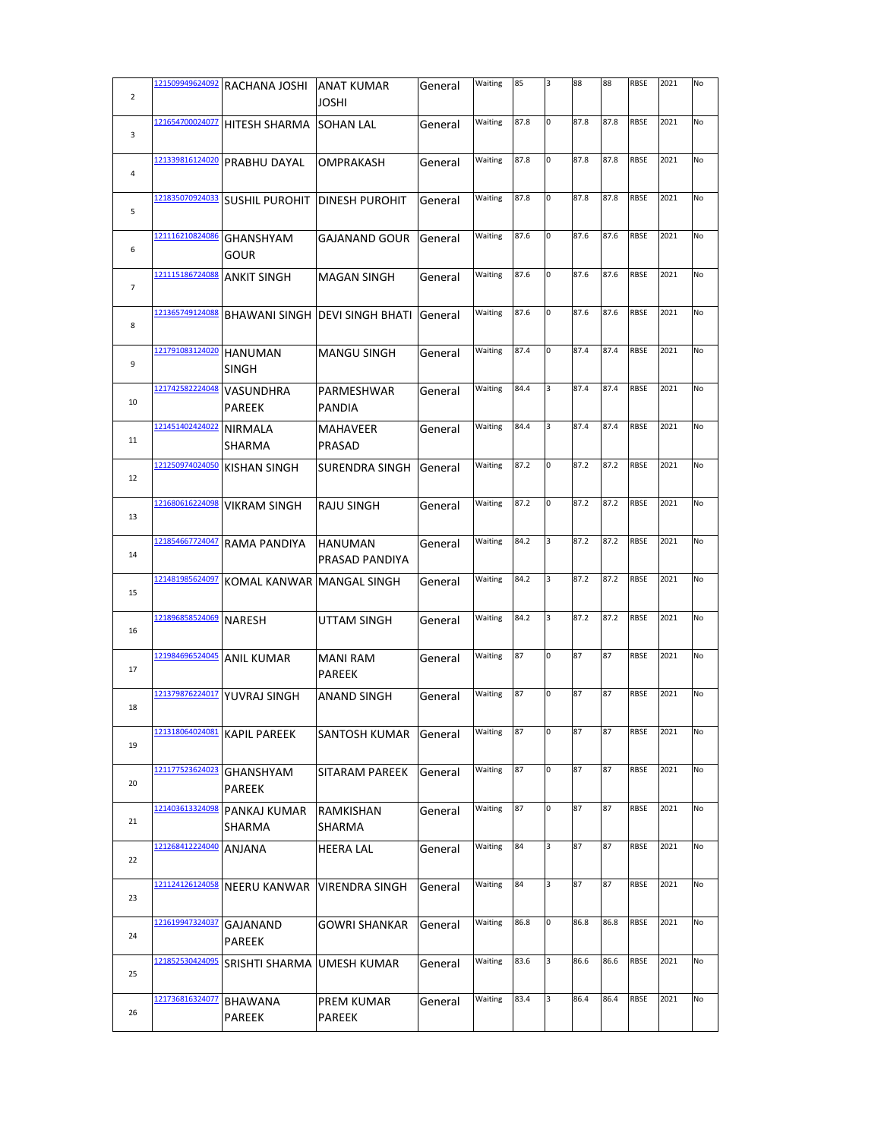| $\overline{2}$ | 121509949624092 | RACHANA JOSHI                     | <b>ANAT KUMAR</b><br>JOSHI       | General | Waiting | 85   | 3 | 88   | 88   | <b>RBSE</b> | 2021 | No |
|----------------|-----------------|-----------------------------------|----------------------------------|---------|---------|------|---|------|------|-------------|------|----|
| 3              | 121654700024077 | <b>HITESH SHARMA</b>              | <b>SOHAN LAL</b>                 | General | Waiting | 87.8 | 0 | 87.8 | 87.8 | <b>RBSE</b> | 2021 | No |
| 4              | 121339816124020 | PRABHU DAYAL                      | OMPRAKASH                        | General | Waiting | 87.8 | 0 | 87.8 | 87.8 | <b>RBSE</b> | 2021 | No |
| 5              | 121835070924033 | <b>SUSHIL PUROHIT</b>             | <b>DINESH PUROHIT</b>            | General | Waiting | 87.8 | 0 | 87.8 | 87.8 | <b>RBSE</b> | 2021 | No |
| 6              | 121116210824086 | <b>GHANSHYAM</b><br>GOUR          | GAJANAND GOUR                    | General | Waiting | 87.6 | 0 | 87.6 | 87.6 | <b>RBSE</b> | 2021 | No |
| $\overline{7}$ | 121115186724088 | ANKIT SINGH                       | <b>MAGAN SINGH</b>               | General | Waiting | 87.6 | O | 87.6 | 87.6 | <b>RBSE</b> | 2021 | No |
| 8              | 121365749124088 |                                   | BHAWANI SINGH   DEVI SINGH BHATI | General | Waiting | 87.6 | O | 87.6 | 87.6 | <b>RBSE</b> | 2021 | No |
| 9              | 121791083124020 | <b>HANUMAN</b><br>SINGH           | <b>MANGU SINGH</b>               | General | Waiting | 87.4 | 0 | 87.4 | 87.4 | RBSE        | 2021 | No |
| 10             | 121742582224048 | <b>VASUNDHRA</b><br><b>PAREEK</b> | PARMESHWAR<br><b>PANDIA</b>      | General | Waiting | 84.4 | 3 | 87.4 | 87.4 | <b>RBSE</b> | 2021 | No |
| 11             | 121451402424022 | <b>NIRMALA</b><br>SHARMA          | MAHAVEER<br>PRASAD               | General | Waiting | 84.4 | 3 | 87.4 | 87.4 | <b>RBSE</b> | 2021 | No |
| 12             | 121250974024050 | KISHAN SINGH                      | SURENDRA SINGH                   | General | Waiting | 87.2 | 0 | 87.2 | 87.2 | <b>RBSE</b> | 2021 | No |
| 13             | 121680616224098 | <b>VIKRAM SINGH</b>               | RAJU SINGH                       | General | Waiting | 87.2 | O | 87.2 | 87.2 | <b>RBSE</b> | 2021 | No |
| 14             | 121854667724047 | RAMA PANDIYA                      | HANUMAN<br>PRASAD PANDIYA        | General | Waiting | 84.2 | 3 | 87.2 | 87.2 | <b>RBSE</b> | 2021 | No |
| 15             | 121481985624097 | KOMAL KANWAR MANGAL SINGH         |                                  | General | Waiting | 84.2 | 3 | 87.2 | 87.2 | <b>RBSE</b> | 2021 | No |
| 16             | 121896858524069 | NARESH                            | UTTAM SINGH                      | General | Waiting | 84.2 | 3 | 87.2 | 87.2 | <b>RBSE</b> | 2021 | No |
| 17             | 121984696524045 | <b>ANIL KUMAR</b>                 | <b>MANI RAM</b><br>PAREEK        | General | Waiting | 87   | 0 | 87   | 87   | <b>RBSE</b> | 2021 | No |
| 18             | 121379876224017 | YUVRAJ SINGH                      | ANAND SINGH                      | General | Waiting | 87   | O | 87   | 87   | <b>RBSE</b> | 2021 | No |
| 19             | 121318064024081 | KAPIL PAREEK                      | SANTOSH KUMAR                    | General | Waiting | 87   | 0 | 87   | 87   | RBSE        | 2021 | No |
| 20             | 121177523624023 | GHANSHYAM<br>PAREEK               | SITARAM PAREEK                   | General | Waiting | 87   | 0 | 87   | 87   | <b>RBSE</b> | 2021 | No |
| 21             | 121403613324098 | PANKAJ KUMAR<br>SHARMA            | RAMKISHAN<br>SHARMA              | General | Waiting | 87   | 0 | 87   | 87   | <b>RBSE</b> | 2021 | No |
| 22             | 121268412224040 | ANJANA                            | <b>HEERA LAL</b>                 | General | Waiting | 84   | 3 | 87   | 87   | <b>RBSE</b> | 2021 | No |
| 23             | 121124126124058 | <b>NEERU KANWAR</b>               | VIRENDRA SINGH                   | General | Waiting | 84   | 3 | 87   | 87   | <b>RBSE</b> | 2021 | No |
| 24             | 121619947324037 | GAJANAND<br>PAREEK                | <b>GOWRI SHANKAR</b>             | General | Waiting | 86.8 | 0 | 86.8 | 86.8 | <b>RBSE</b> | 2021 | No |
| 25             | 121852530424095 | SRISHTI SHARMA JUMESH KUMAR       |                                  | General | Waiting | 83.6 | 3 | 86.6 | 86.6 | <b>RBSE</b> | 2021 | No |
| 26             | 121736816324077 | BHAWANA<br>PAREEK                 | PREM KUMAR<br>PAREEK             | General | Waiting | 83.4 | 3 | 86.4 | 86.4 | <b>RBSE</b> | 2021 | No |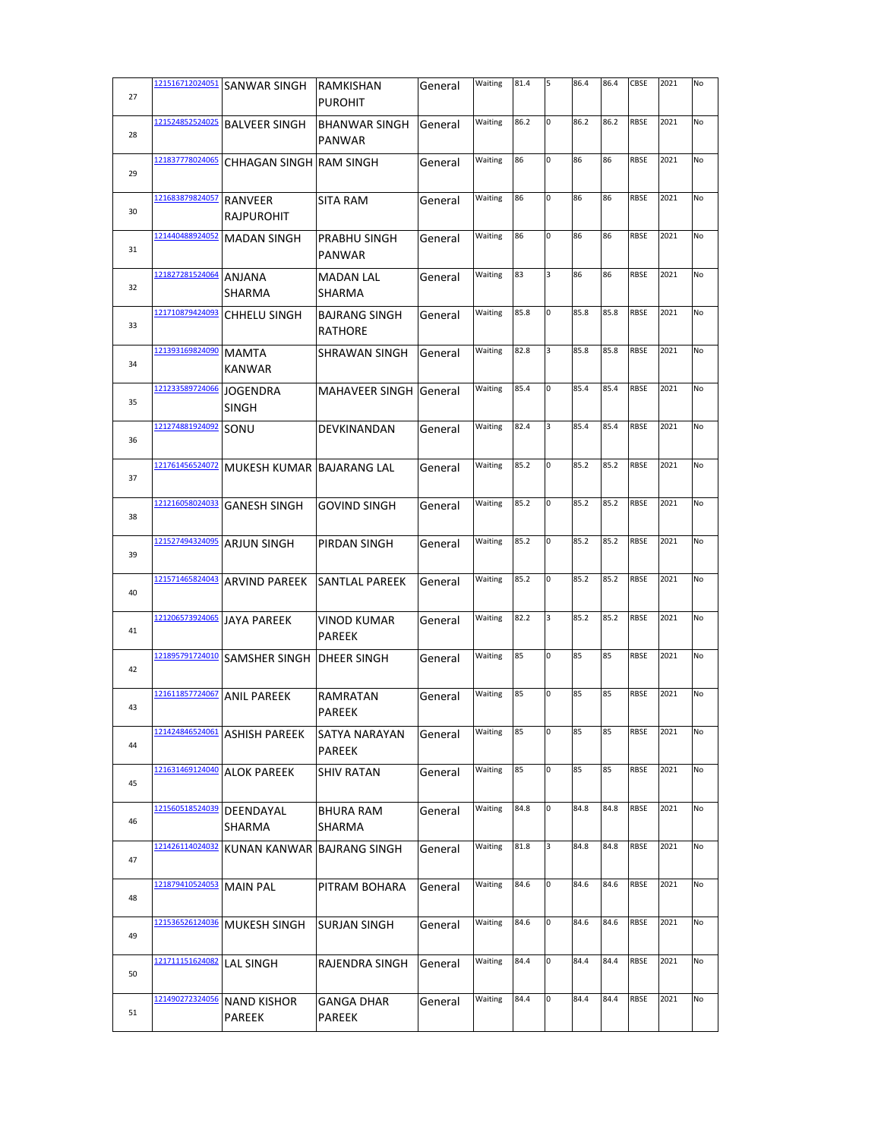| 27 | 121516712024051 | <b>SANWAR SINGH</b>             | RAMKISHAN<br><b>PUROHIT</b>           | General | Waiting | 81.4 | 5  | 86.4 | 86.4 | CBSE        | 2021 | No |
|----|-----------------|---------------------------------|---------------------------------------|---------|---------|------|----|------|------|-------------|------|----|
|    | 121524852524025 |                                 |                                       |         |         | 86.2 | 0  | 86.2 | 86.2 | <b>RBSE</b> | 2021 | No |
| 28 |                 | <b>BALVEER SINGH</b>            | <b>BHANWAR SINGH</b><br><b>PANWAR</b> | General | Waiting |      |    |      |      |             |      |    |
| 29 | 121837778024065 | CHHAGAN SINGH RAM SINGH         |                                       | General | Waiting | 86   | 0  | 86   | 86   | <b>RBSE</b> | 2021 | No |
| 30 | 121683879824057 | RANVEER<br><b>RAJPUROHIT</b>    | <b>SITA RAM</b>                       | General | Waiting | 86   | 0  | 86   | 86   | <b>RBSE</b> | 2021 | No |
| 31 | 121440488924052 | <b>MADAN SINGH</b>              | PRABHU SINGH<br><b>PANWAR</b>         | General | Waiting | 86   | 0  | 86   | 86   | <b>RBSE</b> | 2021 | No |
| 32 | 121827281524064 | ANJANA<br>SHARMA                | <b>MADAN LAL</b><br><b>SHARMA</b>     | General | Waiting | 83   | 3  | 86   | 86   | <b>RBSE</b> | 2021 | No |
| 33 | 121710879424093 | CHHELU SINGH                    | <b>BAJRANG SINGH</b><br>RATHORE       | General | Waiting | 85.8 | lo | 85.8 | 85.8 | <b>RBSE</b> | 2021 | No |
| 34 | 121393169824090 | <b>MAMTA</b><br><b>KANWAR</b>   | SHRAWAN SINGH                         | General | Waiting | 82.8 | 3  | 85.8 | 85.8 | <b>RBSE</b> | 2021 | No |
| 35 | 121233589724066 | <b>JOGENDRA</b><br><b>SINGH</b> | MAHAVEER SINGH                        | General | Waiting | 85.4 | 0  | 85.4 | 85.4 | <b>RBSE</b> | 2021 | No |
| 36 | 121274881924092 | SONU                            | DEVKINANDAN                           | General | Waiting | 82.4 | 3  | 85.4 | 85.4 | <b>RBSE</b> | 2021 | No |
| 37 | 121761456524072 | MUKESH KUMAR BAJARANG LAL       |                                       | General | Waiting | 85.2 | 0  | 85.2 | 85.2 | <b>RBSE</b> | 2021 | No |
| 38 | 121216058024033 | <b>GANESH SINGH</b>             | <b>GOVIND SINGH</b>                   | General | Waiting | 85.2 | O  | 85.2 | 85.2 | <b>RBSE</b> | 2021 | No |
| 39 | 121527494324095 | <b>ARJUN SINGH</b>              | PIRDAN SINGH                          | General | Waiting | 85.2 | 0  | 85.2 | 85.2 | <b>RBSE</b> | 2021 | No |
| 40 | 121571465824043 | <b>ARVIND PAREEK</b>            | <b>SANTLAL PAREEK</b>                 | General | Waiting | 85.2 | lo | 85.2 | 85.2 | <b>RBSE</b> | 2021 | No |
| 41 | 121206573924065 | <b>JAYA PAREEK</b>              | <b>VINOD KUMAR</b><br><b>PAREEK</b>   | General | Waiting | 82.2 | 3  | 85.2 | 85.2 | <b>RBSE</b> | 2021 | No |
| 42 | 121895791724010 | <b>SAMSHER SINGH</b>            | DHEER SINGH                           | General | Waiting | 85   | 0  | 85   | 85   | <b>RBSE</b> | 2021 | No |
| 43 | 121611857724067 | <b>ANIL PAREEK</b>              | RAMRATAN<br>PAREEK                    | General | Waiting | 85   | 0  | 85   | 85   | <b>RBSE</b> | 2021 | No |
| 44 | 121424846524061 | <b>ASHISH PAREEK</b>            | SATYA NARAYAN<br><b>PAREEK</b>        | General | Waiting | 85   | 0  | 85   | 85   | RBSE        | 2021 | No |
| 45 | 121631469124040 | <b>ALOK PAREEK</b>              | <b>SHIV RATAN</b>                     | General | Waiting | 85   | O  | 85   | 85   | <b>RBSE</b> | 2021 | No |
| 46 | 121560518524039 | DEENDAYAL<br>SHARMA             | <b>BHURA RAM</b><br>SHARMA            | General | Waiting | 84.8 | O  | 84.8 | 84.8 | <b>RBSE</b> | 2021 | No |
| 47 | 121426114024032 | KUNAN KANWAR BAJRANG SINGH      |                                       | General | Waiting | 81.8 | 3  | 84.8 | 84.8 | <b>RBSE</b> | 2021 | No |
| 48 | 121879410524053 | <b>MAIN PAL</b>                 | PITRAM BOHARA                         | General | Waiting | 84.6 | O  | 84.6 | 84.6 | <b>RBSE</b> | 2021 | No |
| 49 | 121536526124036 | MUKESH SINGH                    | <b>SURJAN SINGH</b>                   | General | Waiting | 84.6 | 0  | 84.6 | 84.6 | <b>RBSE</b> | 2021 | No |
| 50 | 121711151624082 | LAL SINGH                       | RAJENDRA SINGH                        | General | Waiting | 84.4 | O  | 84.4 | 84.4 | <b>RBSE</b> | 2021 | No |
| 51 | 121490272324056 | <b>NAND KISHOR</b><br>PAREEK    | GANGA DHAR<br><b>PAREEK</b>           | General | Waiting | 84.4 | O  | 84.4 | 84.4 | <b>RBSE</b> | 2021 | No |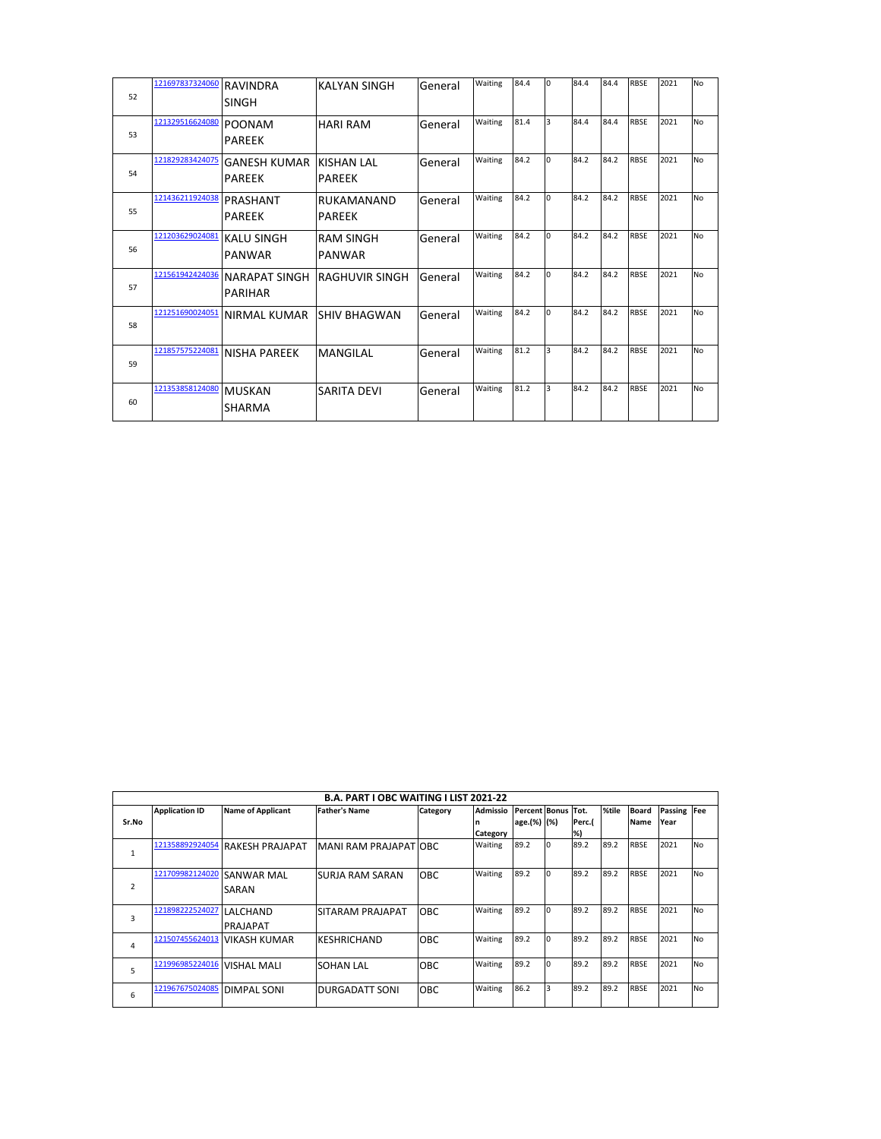| 52 | 121697837324060 | <b>RAVINDRA</b><br>SINGH         | <b>KALYAN SINGH</b>          | General | Waiting | 84.4 | I٥           | 84.4 | 84.4 | <b>RBSE</b> | 2021 | <b>No</b> |
|----|-----------------|----------------------------------|------------------------------|---------|---------|------|--------------|------|------|-------------|------|-----------|
| 53 | 121329516624080 | POONAM<br><b>PAREEK</b>          | <b>HARI RAM</b>              | General | Waiting | 81.4 | l3           | 84.4 | 84.4 | <b>RBSE</b> | 2021 | <b>No</b> |
| 54 | 121829283424075 | GANESH KUMAR<br><b>PAREEK</b>    | KISHAN I AI<br><b>PAREEK</b> | General | Waiting | 84.2 | <sup>n</sup> | 84.2 | 84.2 | <b>RBSE</b> | 2021 | <b>No</b> |
| 55 | 121436211924038 | PRASHANT<br><b>PAREEK</b>        | RUKAMANAND<br>PAREEK         | General | Waiting | 84.2 | l0           | 84.2 | 84.2 | <b>RBSE</b> | 2021 | <b>No</b> |
| 56 | 121203629024081 | <b>KALU SINGH</b><br>PANWAR      | <b>RAM SINGH</b><br>PANWAR   | General | Waiting | 84.2 | lo.          | 84.2 | 84.2 | <b>RBSE</b> | 2021 | <b>No</b> |
| 57 | 121561942424036 | INARAPAT SINGH<br><b>PARIHAR</b> | <b>RAGHUVIR SINGH</b>        | General | Waiting | 84.2 | I٥           | 84.2 | 84.2 | <b>RBSE</b> | 2021 | <b>No</b> |
| 58 | 121251690024051 | INIRMAL KUMAR                    | <b>SHIV BHAGWAN</b>          | General | Waiting | 84.2 | <sup>n</sup> | 84.2 | 84.2 | <b>RBSE</b> | 2021 | <b>No</b> |
| 59 | 121857575224081 | NISHA PAREEK                     | <b>MANGILAL</b>              | General | Waiting | 81.2 | 3            | 84.2 | 84.2 | <b>RBSE</b> | 2021 | <b>No</b> |
| 60 | 121353858124080 | MUSKAN<br>SHARMA                 | <b>SARITA DEVI</b>           | General | Waiting | 81.2 | l3.          | 84.2 | 84.2 | <b>RBSE</b> | 2021 | <b>No</b> |

|                |                       |                          | <b>B.A. PART I OBC WAITING I LIST 2021-22</b> |            |                 |                    |          |        |       |              |         |                |
|----------------|-----------------------|--------------------------|-----------------------------------------------|------------|-----------------|--------------------|----------|--------|-------|--------------|---------|----------------|
|                | <b>Application ID</b> | <b>Name of Applicant</b> | <b>Father's Name</b>                          | Category   | <b>Admissio</b> | Percent Bonus Tot. |          |        | %tile | <b>Board</b> | Passing | <b>Fee</b>     |
| Sr.No          |                       |                          |                                               |            | n               | age.(%) (%)        |          | Perc.( |       | <b>Name</b>  | Year    |                |
|                |                       |                          |                                               |            | Category        |                    |          | %)     |       |              |         |                |
|                | 121358892924054       | <b>RAKESH PRAJAPAT</b>   | MANI RAM PRAJAPATIOBC                         |            | Waiting         | 89.2               | $\Omega$ | 89.2   | 89.2  | <b>RBSE</b>  | 2021    | N <sub>O</sub> |
| $\mathbf{1}$   |                       |                          |                                               |            |                 |                    |          |        |       |              |         |                |
|                | 121709982124020       | <b>SANWAR MAL</b>        | ISURJA RAM SARAN                              | <b>OBC</b> | Waiting         | 89.2               |          | 89.2   | 89.2  | <b>RBSE</b>  | 2021    | N <sub>O</sub> |
| $\overline{2}$ |                       | SARAN                    |                                               |            |                 |                    |          |        |       |              |         |                |
|                |                       |                          |                                               |            |                 |                    |          |        |       |              |         |                |
| 3              | 121898222524027       | LALCHAND                 | SITARAM PRAJAPAT                              | OBC.       | Waiting         | 89.2               | I٥       | 89.2   | 89.2  | <b>RBSE</b>  | 2021    | N <sub>O</sub> |
|                |                       | PRAJAPAT                 |                                               |            |                 |                    |          |        |       |              |         |                |
| 4              | 121507455624013       | IVIKASH KUMAR            | KESHRICHAND                                   | <b>OBC</b> | Waiting         | 89.2               |          | 89.2   | 89.2  | <b>RBSE</b>  | 2021    | N <sub>O</sub> |
|                |                       |                          |                                               |            |                 |                    |          |        |       |              |         |                |
| 5              | 121996985224016       | <b>VISHAL MALI</b>       | SOHAN LAL                                     | OBC        | Waiting         | 89.2               | In       | 89.2   | 89.2  | <b>RBSE</b>  | 2021    | <b>No</b>      |
|                |                       |                          |                                               |            |                 |                    |          |        |       |              |         |                |
| 6              | 121967675024085       | <b>DIMPAL SONI</b>       | DURGADATT SONI                                | <b>OBC</b> | Waiting         | 86.2               | 3        | 89.2   | 89.2  | <b>RBSE</b>  | 2021    | <b>No</b>      |
|                |                       |                          |                                               |            |                 |                    |          |        |       |              |         |                |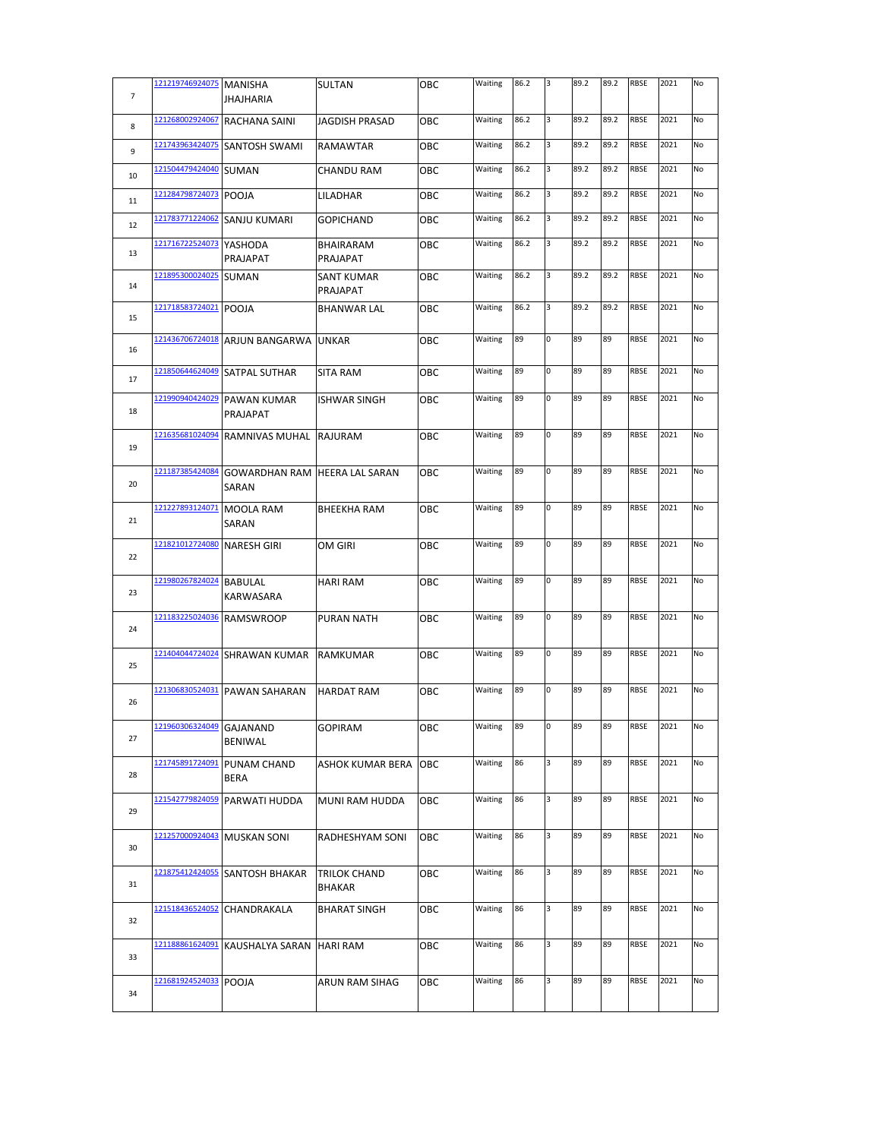| $\overline{7}$ | 121219746924075 MANISHA | <b>JHAJHARIA</b>                              | SULTAN                 | OBC | Waiting | 86.2 | 3 | 89.2 | 89.2 | RBSE        | 2021 | No |
|----------------|-------------------------|-----------------------------------------------|------------------------|-----|---------|------|---|------|------|-------------|------|----|
| 8              | 121268002924067         | RACHANA SAINI                                 | <b>JAGDISH PRASAD</b>  | OBC | Waiting | 86.2 | 3 | 89.2 | 89.2 | <b>RBSE</b> | 2021 | No |
| 9              | 121743963424075         | SANTOSH SWAMI                                 | RAMAWTAR               | OBC | Waiting | 86.2 | 3 | 89.2 | 89.2 | <b>RBSE</b> | 2021 | No |
| 10             | 121504479424040         | SUMAN                                         | CHANDU RAM             | ОВС | Waiting | 86.2 | 3 | 89.2 | 89.2 | RBSE        | 2021 | No |
| 11             | 121284798724073         | POOJA                                         | LILADHAR               | ОВС | Waiting | 86.2 | 3 | 89.2 | 89.2 | <b>RBSE</b> | 2021 | No |
| 12             | 121783771224062         | SANJU KUMARI                                  | GOPICHAND              | OBC | Waiting | 86.2 | 3 | 89.2 | 89.2 | RBSE        | 2021 | No |
| 13             | 121716722524073         | YASHODA<br>PRAJAPAT                           | BHAIRARAM<br>PRAJAPAT  | OBC | Waiting | 86.2 | 3 | 89.2 | 89.2 | RBSE        | 2021 | No |
| 14             | 121895300024025         | <b>SUMAN</b>                                  | SANT KUMAR<br>PRAJAPAT | ОВС | Waiting | 86.2 | 3 | 89.2 | 89.2 | RBSE        | 2021 | No |
| 15             | 121718583724021         | POOJA                                         | <b>BHANWAR LAL</b>     | ОВС | Waiting | 86.2 | 3 | 89.2 | 89.2 | RBSE        | 2021 | No |
| 16             | 121436706724018         | ARJUN BANGARWA UNKAR                          |                        | OBC | Waiting | 89   | 0 | 89   | 89   | <b>RBSE</b> | 2021 | No |
| 17             | 121850644624049         | SATPAL SUTHAR                                 | SITA RAM               | ОВС | Waiting | 89   | O | 89   | 89   | RBSE        | 2021 | No |
| 18             | 121990940424029         | PAWAN KUMAR<br>PRAJAPAT                       | ISHWAR SINGH           | ОВС | Waiting | 89   | 0 | 89   | 89   | RBSE        | 2021 | No |
| 19             | 121635681024094         | RAMNIVAS MUHAL RAJURAM                        |                        | OBC | Waiting | 89   | 0 | 89   | 89   | RBSE        | 2021 | No |
| 20             | 121187385424084         | <b>GOWARDHAN RAM HEERA LAL SARAN</b><br>SARAN |                        | ОВС | Waiting | 89   | 0 | 89   | 89   | RBSE        | 2021 | No |
| 21             | 121227893124071         | MOOLA RAM<br>SARAN                            | <b>BHEEKHA RAM</b>     | OBC | Waiting | 89   | 0 | 89   | 89   | RBSE        | 2021 | No |
| 22             | 121821012724080         | <b>NARESH GIRI</b>                            | OM GIRI                | OBC | Waiting | 89   | 0 | 89   | 89   | RBSE        | 2021 | No |
| 23             | 121980267824024         | <b>BABULAL</b><br>KARWASARA                   | <b>HARI RAM</b>        | OBC | Waiting | 89   | 0 | 89   | 89   | RBSE        | 2021 | No |
| 24             | 121183225024036         | <b>RAMSWROOP</b>                              | PURAN NATH             | ОВС | Waiting | 89   | 0 | 89   | 89   | <b>RBSE</b> | 2021 | No |
| 25             | 121404044724024         | SHRAWAN KUMAR                                 | RAMKUMAR               | ОВС | Waiting | 89   | 0 | 89   | 89   | RBSE        | 2021 | No |
| 26             | 121306830524031         | PAWAN SAHARAN                                 | <b>HARDAT RAM</b>      | ОВС | Waiting | 89   | 0 | 89   | 89   | RBSE        | 2021 | No |
| 27             | 121960306324049         | GAJANAND<br>BENIWAL                           | GOPIRAM                | OBC | Waiting | 89   | 0 | 89   | 89   | <b>RBSE</b> | 2021 | No |
| 28             | 121745891724091         | PUNAM CHAND<br><b>BERA</b>                    | ASHOK KUMAR BERA       | OBC | Waiting | 86   | 3 | 89   | 89   | RBSE        | 2021 | No |
| 29             | 121542779824059         | PARWATI HUDDA                                 | MUNI RAM HUDDA         | OBC | Waiting | 86   | 3 | 89   | 89   | RBSE        | 2021 | No |
| 30             | 121257000924043         | <b>MUSKAN SONI</b>                            | RADHESHYAM SONI        | OBC | Waiting | 86   | 3 | 89   | 89   | <b>RBSE</b> | 2021 | No |
| 31             | 121875412424055         | SANTOSH BHAKAR                                | TRILOK CHAND<br>BHAKAR | ОВС | Waiting | 86   | 3 | 89   | 89   | RBSE        | 2021 | No |
| 32             | 121518436524052         | CHANDRAKALA                                   | <b>BHARAT SINGH</b>    | OBC | Waiting | 86   | 3 | 89   | 89   | RBSE        | 2021 | No |
| 33             | 121188861624091         | KAUSHALYA SARAN HARI RAM                      |                        | ОВС | Waiting | 86   | 3 | 89   | 89   | RBSE        | 2021 | No |
| 34             | 121681924524033         | POOJA                                         | ARUN RAM SIHAG         | OBC | Waiting | 86   | 3 | 89   | 89   | RBSE        | 2021 | No |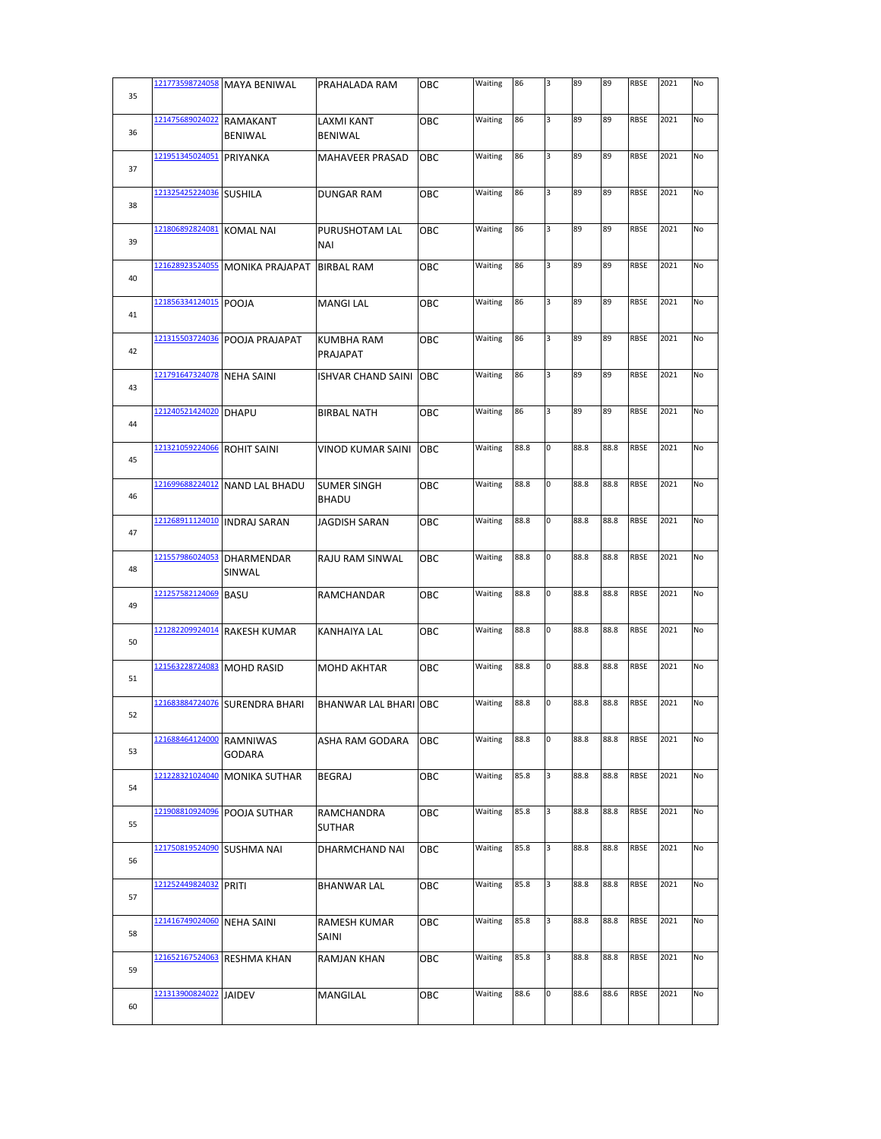| 35 | 121773598724058 | <b>MAYA BENIWAL</b>          | PRAHALADA RAM                      | ОВС | Waiting | 86   | 3 | 89   | 89   | RBSE        | 2021 | No |
|----|-----------------|------------------------------|------------------------------------|-----|---------|------|---|------|------|-------------|------|----|
| 36 | 121475689024022 | RAMAKANT<br>BENIWAL          | LAXMI KANT<br><b>BENIWAL</b>       | ОВС | Waiting | 86   | 3 | 89   | 89   | RBSE        | 2021 | No |
| 37 | 121951345024051 | PRIYANKA                     | MAHAVEER PRASAD                    | OBC | Waiting | 86   | 3 | 89   | 89   | <b>RBSE</b> | 2021 | No |
| 38 | 121325425224036 | <b>SUSHILA</b>               | DUNGAR RAM                         | ОВС | Waiting | 86   | 3 | 89   | 89   | RBSE        | 2021 | No |
| 39 | 121806892824081 | KOMAL NAI                    | PURUSHOTAM LAL<br>NAI              | ОВС | Waiting | 86   | 3 | 89   | 89   | RBSE        | 2021 | No |
| 40 | 121628923524055 | <b>MONIKA PRAJAPAT</b>       | <b>BIRBAL RAM</b>                  | ОВС | Waiting | 86   | 3 | 89   | 89   | RBSE        | 2021 | No |
| 41 | 121856334124015 | POOJA                        | <b>MANGI LAL</b>                   | ОВС | Waiting | 86   | 3 | 89   | 89   | RBSE        | 2021 | No |
| 42 | 121315503724036 | POOJA PRAJAPAT               | KUMBHA RAM<br>PRAJAPAT             | ОВС | Waiting | 86   | 3 | 89   | 89   | RBSE        | 2021 | No |
| 43 | 121791647324078 | <b>NEHA SAINI</b>            | <b>ISHVAR CHAND SAINI OBC</b>      |     | Waiting | 86   | 3 | 89   | 89   | RBSE        | 2021 | No |
| 44 | 121240521424020 | <b>DHAPU</b>                 | <b>BIRBAL NATH</b>                 | ОВС | Waiting | 86   | 3 | 89   | 89   | RBSE        | 2021 | No |
| 45 | 121321059224066 | <b>ROHIT SAINI</b>           | VINOD KUMAR SAINI                  | OBC | Waiting | 88.8 | 0 | 88.8 | 88.8 | RBSE        | 2021 | No |
| 46 | 121699688224012 | <b>NAND LAL BHADU</b>        | <b>SUMER SINGH</b><br><b>BHADU</b> | ОВС | Waiting | 88.8 | 0 | 88.8 | 88.8 | <b>RBSE</b> | 2021 | No |
| 47 |                 | 121268911124010 INDRAJ SARAN | <b>JAGDISH SARAN</b>               | OBC | Waiting | 88.8 | 0 | 88.8 | 88.8 | RBSE        | 2021 | No |
| 48 | 121557986024053 | <b>DHARMENDAR</b><br>SINWAL  | RAJU RAM SINWAL                    | ОВС | Waiting | 88.8 | 0 | 88.8 | 88.8 | RBSE        | 2021 | No |
| 49 | 121257582124069 | <b>BASU</b>                  | RAMCHANDAR                         | ОВС | Waiting | 88.8 | 0 | 88.8 | 88.8 | <b>RBSE</b> | 2021 | No |
| 50 | 121282209924014 | <b>RAKESH KUMAR</b>          | KANHAIYA LAL                       | OBC | Waiting | 88.8 | 0 | 88.8 | 88.8 | <b>RBSE</b> | 2021 | No |
| 51 | 121563228724083 | <b>MOHD RASID</b>            | <b>MOHD AKHTAR</b>                 | ОВС | Waiting | 88.8 | 0 | 88.8 | 88.8 | RBSE        | 2021 | No |
| 52 | 121683884724076 | <b>SURENDRA BHARI</b>        | BHANWAR LAL BHARI OBC              |     | Waiting | 88.8 | 0 | 88.8 | 88.8 | RBSE        | 2021 | No |
| 53 | 121688464124000 | RAMNIWAS<br>GODARA           | ASHA RAM GODARA                    | ОВС | Waiting | 88.8 | 0 | 88.8 | 88.8 | <b>RBSE</b> | 2021 | No |
| 54 | 121228321024040 | <b>MONIKA SUTHAR</b>         | BEGRAJ                             | ОВС | Waiting | 85.8 | 3 | 88.8 | 88.8 | RBSE        | 2021 | No |
| 55 | 121908810924096 | POOJA SUTHAR                 | RAMCHANDRA<br><b>SUTHAR</b>        | OBC | Waiting | 85.8 | 3 | 88.8 | 88.8 | RBSE        | 2021 | No |
| 56 | 121750819524090 | SUSHMA NAI                   | DHARMCHAND NAI                     | ОВС | Waiting | 85.8 | 3 | 88.8 | 88.8 | RBSE        | 2021 | No |
| 57 | 121252449824032 | PRITI                        | BHANWAR LAL                        | ОВС | Waiting | 85.8 | 3 | 88.8 | 88.8 | RBSE        | 2021 | No |
| 58 | 121416749024060 | NEHA SAINI                   | RAMESH KUMAR<br>SAINI              | ОВС | Waiting | 85.8 | 3 | 88.8 | 88.8 | RBSE        | 2021 | No |
| 59 | 121652167524063 | <b>RESHMA KHAN</b>           | RAMJAN KHAN                        | ОВС | Waiting | 85.8 | 3 | 88.8 | 88.8 | RBSE        | 2021 | No |
|    | 121313900824022 | JAIDEV                       | MANGILAL                           | ОВС | Waiting | 88.6 | 0 | 88.6 | 88.6 | RBSE        | 2021 | No |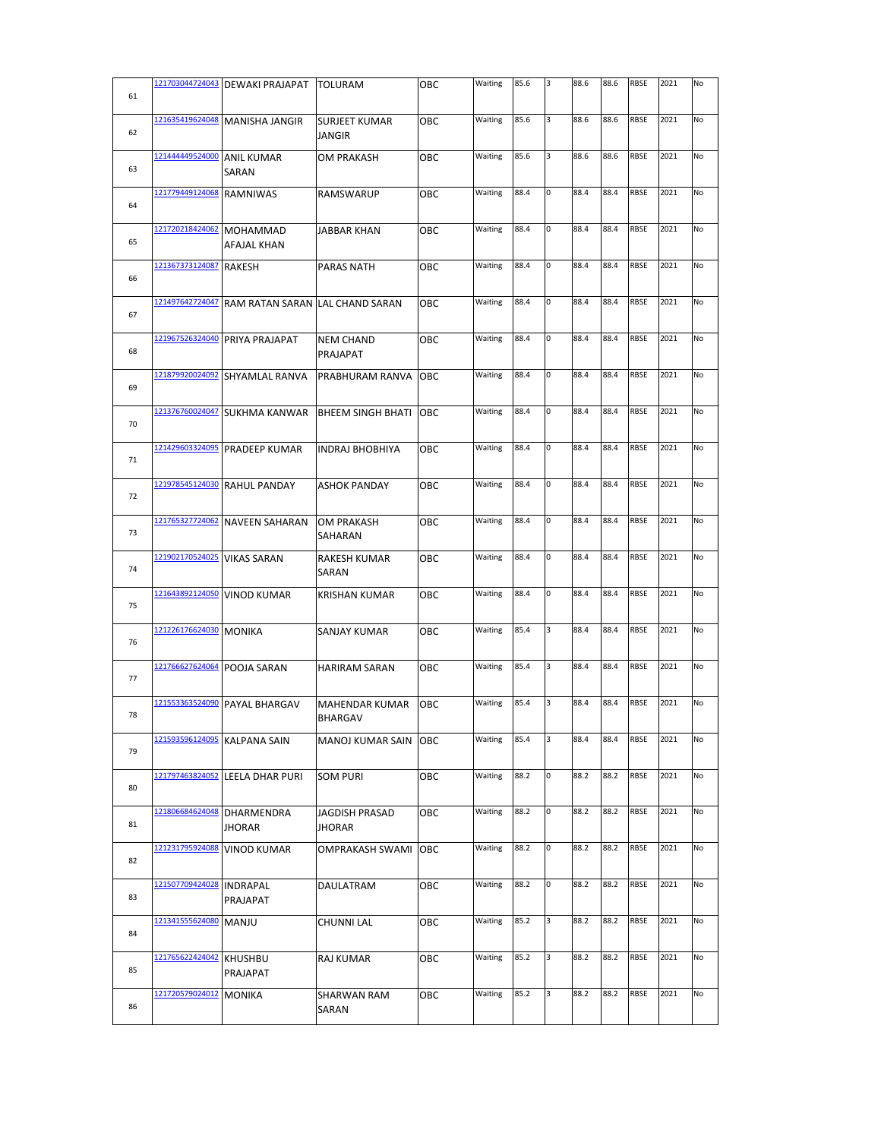| 61 | 121703044724043        | <b>DEWAKI PRAJAPAT</b>          | <b>TOLURAM</b>                          | OBC        | Waiting | 85.6 | Iз | 88.6 | 88.6 | RBSE        | 2021 | No |
|----|------------------------|---------------------------------|-----------------------------------------|------------|---------|------|----|------|------|-------------|------|----|
|    | 121635419624048        | <b>MANISHA JANGIR</b>           | <b>SURJEET KUMAR</b>                    | OBC        | Waiting | 85.6 | 3  | 88.6 | 88.6 | RBSE        | 2021 | No |
| 62 |                        |                                 | <b>JANGIR</b>                           |            |         |      |    |      |      |             |      |    |
| 63 | 121444449524000        | <b>ANIL KUMAR</b><br>SARAN      | OM PRAKASH                              | ОВС        | Waiting | 85.6 | 3  | 88.6 | 88.6 | <b>RBSE</b> | 2021 | No |
| 64 | 121779449124068        | <b>RAMNIWAS</b>                 | <b>RAMSWARUP</b>                        | ОВС        | Waiting | 88.4 | 0  | 88.4 | 88.4 | RBSE        | 2021 | No |
| 65 | 121720218424062        | <b>MOHAMMAD</b><br>AFAJAL KHAN  | <b>JABBAR KHAN</b>                      | ОВС        | Waiting | 88.4 | 0  | 88.4 | 88.4 | RBSE        | 2021 | No |
| 66 | 121367373124087        | <b>RAKESH</b>                   | PARAS NATH                              | OBC        | Waiting | 88.4 | 0  | 88.4 | 88.4 | RBSE        | 2021 | No |
|    | 121497642724047        | RAM RATAN SARAN LAL CHAND SARAN |                                         | ОВС        | Waiting | 88.4 | 0  | 88.4 | 88.4 | <b>RBSE</b> | 2021 | No |
| 67 | 121967526324040        |                                 |                                         |            | Waiting | 88.4 | 0  | 88.4 | 88.4 | RBSE        | 2021 | No |
| 68 |                        | PRIYA PRAJAPAT                  | <b>NEM CHAND</b><br>PRAJAPAT            | OBC        |         |      |    |      |      |             |      |    |
| 69 | 121879920024092        | SHYAMLAL RANVA                  | PRABHURAM RANVA OBC                     |            | Waiting | 88.4 | 0  | 88.4 | 88.4 | RBSE        | 2021 | No |
| 70 | 121376760024047        | <b>SUKHMA KANWAR</b>            | <b>BHEEM SINGH BHATI</b>                | OBC        | Waiting | 88.4 | 0  | 88.4 | 88.4 | RBSE        | 2021 | No |
| 71 | 121429603324095        | <b>PRADEEP KUMAR</b>            | <b>INDRAJ BHOBHIYA</b>                  | OBC        | Waiting | 88.4 | 0  | 88.4 | 88.4 | RBSE        | 2021 | No |
| 72 | 121978545124030        | <b>RAHUL PANDAY</b>             | <b>ASHOK PANDAY</b>                     | ОВС        | Waiting | 88.4 | 0  | 88.4 | 88.4 | <b>RBSE</b> | 2021 | No |
| 73 | 121765327724062        | <b>NAVEEN SAHARAN</b>           | <b>OM PRAKASH</b><br>SAHARAN            | ОВС        | Waiting | 88.4 | 0  | 88.4 | 88.4 | RBSE        | 2021 | No |
| 74 | 121902170524025        | <b>VIKAS SARAN</b>              | RAKESH KUMAR<br>SARAN                   | OBC        | Waiting | 88.4 | 0  | 88.4 | 88.4 | <b>RBSE</b> | 2021 | No |
| 75 | 121643892124050        | <b>VINOD KUMAR</b>              | <b>KRISHAN KUMAR</b>                    | OBC        | Waiting | 88.4 | 0  | 88.4 | 88.4 | RBSE        | 2021 | No |
|    | 121226176624030 MONIKA |                                 | <b>SANJAY KUMAR</b>                     | овс        | Waiting | 85.4 | 3  | 88.4 | 88.4 | RBSE        | 2021 | No |
| 76 |                        |                                 |                                         |            |         |      |    |      |      |             |      |    |
| 77 |                        | 121766627624064 POOJA SARAN     | <b>HARIRAM SARAN</b>                    | ОВС        | Waiting | 85.4 | 3  | 88.4 | 88.4 | RBSE        | 2021 | No |
| 78 |                        | 121553363524090 PAYAL BHARGAV   | <b>MAHENDAR KUMAR</b><br><b>BHARGAV</b> | OBC        | Waiting | 85.4 | 3  | 88.4 | 88.4 | RBSE        | 2021 | No |
| 79 | 121593596124095        | KALPANA SAIN                    | MANOJ KUMAR SAIN                        | ОВС        | Waiting | 85.4 | 3  | 88.4 | 88.4 | RBSE        | 2021 | No |
| 80 | 121797463824052        | LEELA DHAR PURI                 | <b>SOM PURI</b>                         | ОВС        | Waiting | 88.2 | 0  | 88.2 | 88.2 | RBSE        | 2021 | No |
| 81 | 121806684624048        | DHARMENDRA<br>JHORAR            | <b>JAGDISH PRASAD</b><br><b>JHORAR</b>  | ОВС        | Waiting | 88.2 | 0  | 88.2 | 88.2 | RBSE        | 2021 | No |
| 82 | 121231795924088        | <b>VINOD KUMAR</b>              | OMPRAKASH SWAMI                         | <b>OBC</b> | Waiting | 88.2 | 0  | 88.2 | 88.2 | RBSE        | 2021 | No |
| 83 | 121507709424028        | <b>INDRAPAL</b><br>PRAJAPAT     | DAULATRAM                               | OBC        | Waiting | 88.2 | 0  | 88.2 | 88.2 | <b>RBSE</b> | 2021 | No |
| 84 | 121341555624080        | <b>MANJU</b>                    | CHUNNI LAL                              | ОВС        | Waiting | 85.2 | 3  | 88.2 | 88.2 | RBSE        | 2021 | No |
| 85 | 121765622424042        | <b>KHUSHBU</b>                  | RAJ KUMAR                               | ОВС        | Waiting | 85.2 | 3  | 88.2 | 88.2 | RBSE        | 2021 | No |
|    | 121720579024012        | PRAJAPAT<br><b>MONIKA</b>       | SHARWAN RAM                             | ОВС        | Waiting | 85.2 | 3  | 88.2 | 88.2 | RBSE        | 2021 | No |
| 86 |                        |                                 | SARAN                                   |            |         |      |    |      |      |             |      |    |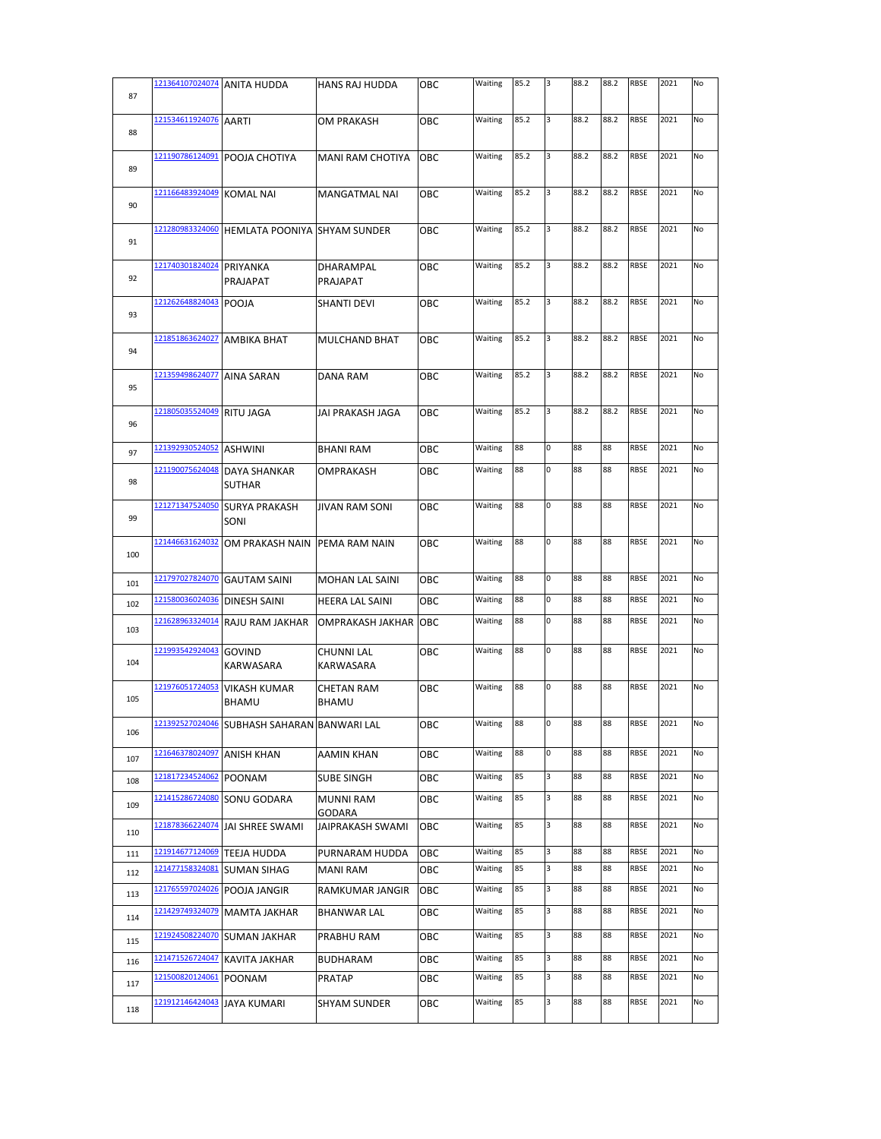| 87  |                          | 121364107024074 ANITA HUDDA                          | HANS RAJ HUDDA                    | OBC | Waiting | 85.2 | 3 | 88.2 | 88.2 | <b>RBSE</b> | 2021 | No |
|-----|--------------------------|------------------------------------------------------|-----------------------------------|-----|---------|------|---|------|------|-------------|------|----|
| 88  | 121534611924076 AARTI    |                                                      | OM PRAKASH                        | OBC | Waiting | 85.2 | 3 | 88.2 | 88.2 | <b>RBSE</b> | 2021 | No |
| 89  | 121190786124091          | POOJA CHOTIYA                                        | <b>MANI RAM CHOTIYA</b>           | OBC | Waiting | 85.2 | 3 | 88.2 | 88.2 | <b>RBSE</b> | 2021 | No |
| 90  | 121166483924049          | <b>KOMAL NAI</b>                                     | MANGATMAL NAI                     | OBC | Waiting | 85.2 | 3 | 88.2 | 88.2 | <b>RBSE</b> | 2021 | No |
| 91  | 121280983324060          | <b>HEMLATA POONIYA SHYAM SUNDER</b>                  |                                   | овс | Waiting | 85.2 | 3 | 88.2 | 88.2 | <b>RBSE</b> | 2021 | No |
| 92  | 121740301824024 PRIYANKA | PRAJAPAT                                             | DHARAMPAL<br>PRAJAPAT             | ОВС | Waiting | 85.2 | 3 | 88.2 | 88.2 | <b>RBSE</b> | 2021 | No |
| 93  | 121262648824043          | POOJA                                                | SHANTI DEVI                       | OBC | Waiting | 85.2 | 3 | 88.2 | 88.2 | <b>RBSE</b> | 2021 | No |
| 94  | 121851863624027          | <b>AMBIKA BHAT</b>                                   | MULCHAND BHAT                     | OBC | Waiting | 85.2 | 3 | 88.2 | 88.2 | <b>RBSE</b> | 2021 | No |
| 95  | 121359498624077          | AINA SARAN                                           | DANA RAM                          | OBC | Waiting | 85.2 | 3 | 88.2 | 88.2 | <b>RBSE</b> | 2021 | No |
| 96  | 121805035524049          | <b>RITU JAGA</b>                                     | JAI PRAKASH JAGA                  | ОВС | Waiting | 85.2 | 3 | 88.2 | 88.2 | RBSE        | 2021 | No |
| 97  | 121392930524052          | <b>ASHWINI</b>                                       | <b>BHANI RAM</b>                  | ОВС | Waiting | 88   | 0 | 88   | 88   | <b>RBSE</b> | 2021 | No |
| 98  | 121190075624048          | <b>DAYA SHANKAR</b><br><b>SUTHAR</b>                 | OMPRAKASH                         | OBC | Waiting | 88   | 0 | 88   | 88   | <b>RBSE</b> | 2021 | No |
| 99  | 121271347524050          | <b>SURYA PRAKASH</b><br>SONI                         | <b>JIVAN RAM SONI</b>             | ОВС | Waiting | 88   | 0 | 88   | 88   | <b>RBSE</b> | 2021 | No |
| 100 | 121446631624032          | OM PRAKASH NAIN                                      | PEMA RAM NAIN                     | OBC | Waiting | 88   | 0 | 88   | 88   | RBSE        | 2021 | No |
| 101 | 121797027824070          | <b>GAUTAM SAINI</b>                                  | <b>MOHAN LAL SAINI</b>            | OBC | Waiting | 88   | 0 | 88   | 88   | <b>RBSE</b> | 2021 | No |
| 102 | 121580036024036          | <b>DINESH SAINI</b>                                  | HEERA LAL SAINI                   | OBC | Waiting | 88   | 0 | 88   | 88   | <b>RBSE</b> | 2021 | No |
| 103 | 121628963324014          | RAJU RAM JAKHAR                                      | OMPRAKASH JAKHAR                  | OBC | Waiting | 88   | 0 | 88   | 88   | <b>RBSE</b> | 2021 | No |
| 104 | 121993542924043          | <b>GOVIND</b><br>KARWASARA                           | <b>CHUNNI LAL</b><br>KARWASARA    | ОВС | Waiting | 88   | 0 | 88   | 88   | <b>RBSE</b> | 2021 | No |
| 105 | 121976051724053          | <b>VIKASH KUMAR</b><br>BHAMU                         | <b>CHETAN RAM</b><br><b>BHAMU</b> | ОВС | Waiting | 88   | 0 | 88   | 88   | <b>RBSE</b> | 2021 | No |
| 106 |                          | <u>I21392527024046</u>  SUBHASH SAHARAN  BANWARI LAL |                                   | ОВС | Waiting | ఠఠ   | υ | 88   | 88   | <b>KR2F</b> | 2021 | N0 |
| 107 | 121646378024097          | <b>ANISH KHAN</b>                                    | AAMIN KHAN                        | ОВС | Waiting | 88   | 0 | 88   | 88   | RBSE        | 2021 | No |
| 108 | 121817234524062          | <b>POONAM</b>                                        | <b>SUBE SINGH</b>                 | ОВС | Waiting | 85   | 3 | 88   | 88   | RBSE        | 2021 | No |
| 109 | 121415286724080          | SONU GODARA                                          | <b>MUNNI RAM</b><br>GODARA        | OBC | Waiting | 85   | 3 | 88   | 88   | RBSE        | 2021 | No |
| 110 | 121878366224074          | JAI SHREE SWAMI                                      | <b>JAIPRAKASH SWAMI</b>           | OBC | Waiting | 85   | 3 | 88   | 88   | RBSE        | 2021 | No |
| 111 | 121914677124069          | <b>TEEJA HUDDA</b>                                   | PURNARAM HUDDA                    | OBC | Waiting | 85   | 3 | 88   | 88   | <b>RBSE</b> | 2021 | No |
| 112 | 121477158324081          | <b>SUMAN SIHAG</b>                                   | <b>MANI RAM</b>                   | ОВС | Waiting | 85   | 3 | 88   | 88   | <b>RBSE</b> | 2021 | No |
| 113 | <u>121765597024026</u>   | POOJA JANGIR                                         | RAMKUMAR JANGIR                   | OBC | Waiting | 85   | 3 | 88   | 88   | RBSE        | 2021 | No |
| 114 | 121429749324079          | <b>MAMTA JAKHAR</b>                                  | <b>BHANWAR LAL</b>                | ОВС | Waiting | 85   | 3 | 88   | 88   | RBSE        | 2021 | No |
| 115 | 121924508224070          | <b>SUMAN JAKHAR</b>                                  | PRABHU RAM                        | OBC | Waiting | 85   | 3 | 88   | 88   | RBSE        | 2021 | No |
| 116 | 121471526724047          | <b>KAVITA JAKHAR</b>                                 | <b>BUDHARAM</b>                   | ОВС | Waiting | 85   | 3 | 88   | 88   | RBSE        | 2021 | No |
| 117 | 121500820124061          | POONAM                                               | <b>PRATAP</b>                     | OBC | Waiting | 85   | 3 | 88   | 88   | RBSE        | 2021 | No |
| 118 | 121912146424043          | <b>JAYA KUMARI</b>                                   | <b>SHYAM SUNDER</b>               | ОВС | Waiting | 85   | 3 | 88   | 88   | RBSE        | 2021 | No |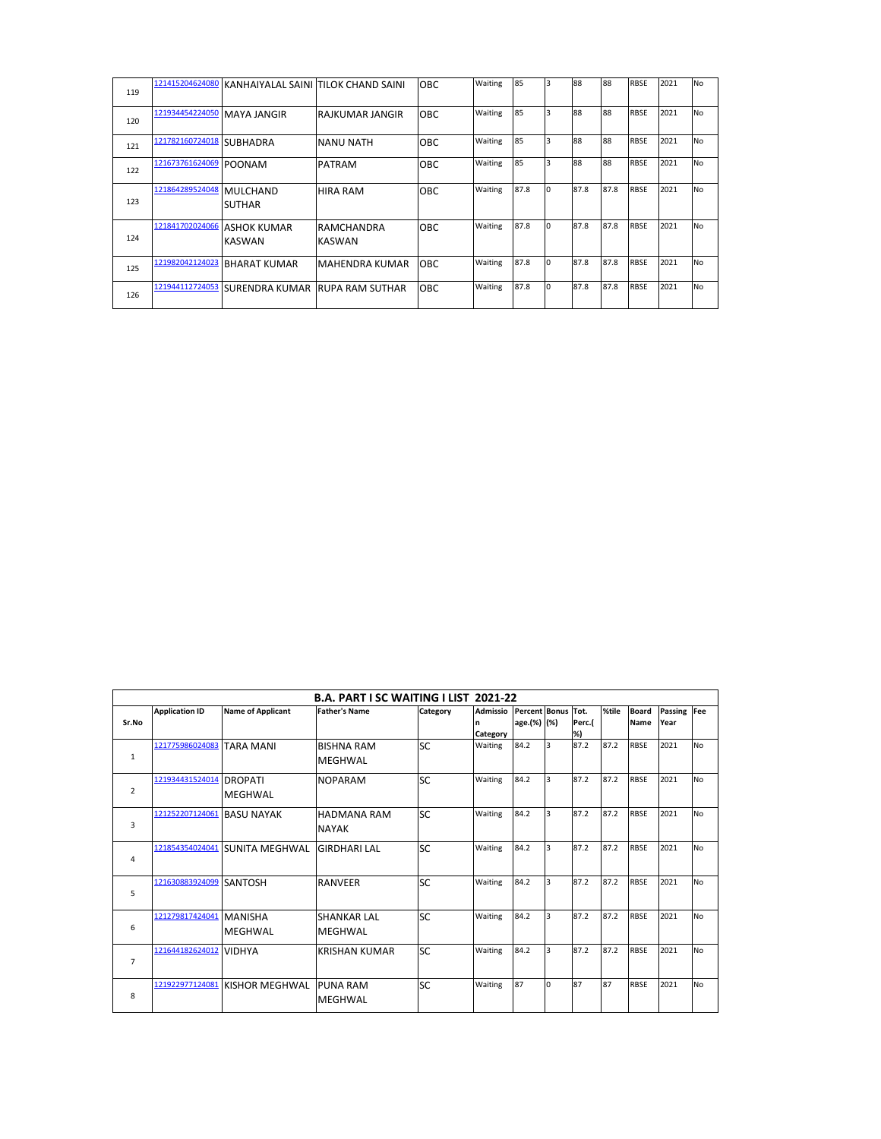| 119 |                        | 121415204624080 KANHAIYALAL SAINI TILOK CHAND SAINI |                             | <b>OBC</b> | Waiting | 85   | 3        | 88   | 88   | <b>RBSE</b> | 2021 | <b>No</b> |
|-----|------------------------|-----------------------------------------------------|-----------------------------|------------|---------|------|----------|------|------|-------------|------|-----------|
| 120 | 121934454224050        | MAYA JANGIR                                         | RAJKUMAR JANGIR             | <b>OBC</b> | Waiting | 85   | 3        | 88   | 88   | <b>RBSE</b> | 2021 | <b>No</b> |
| 121 | 121782160724018        | <b>SUBHADRA</b>                                     | <b>NANU NATH</b>            | OBC        | Waiting | 85   | 3        | 88   | 88   | <b>RBSE</b> | 2021 | <b>No</b> |
| 122 | 121673761624069 POONAM |                                                     | <b>PATRAM</b>               | OBC        | Waiting | 85   | 3        | 88   | 88   | <b>RBSE</b> | 2021 | <b>No</b> |
| 123 | 121864289524048        | MULCHAND<br><b>SUTHAR</b>                           | <b>HIRA RAM</b>             | <b>OBC</b> | Waiting | 87.8 | I٥       | 87.8 | 87.8 | <b>RBSE</b> | 2021 | <b>No</b> |
| 124 | 121841702024066        | <b>LASHOK KUMAR</b><br>KASWAN                       | RAMCHANDRA<br><b>KASWAN</b> | <b>OBC</b> | Waiting | 87.8 | $\Omega$ | 87.8 | 87.8 | <b>RBSE</b> | 2021 | <b>No</b> |
| 125 | 121982042124023        | IBHARAT KUMAR                                       | <b>MAHENDRA KUMAR</b>       | <b>OBC</b> | Waiting | 87.8 | I٥       | 87.8 | 87.8 | <b>RBSE</b> | 2021 | <b>No</b> |
| 126 | 121944112724053        | <b>ISURENDRA KUMAR IRUPA RAM SUTHAR</b>             |                             | <b>OBC</b> | Waiting | 87.8 | $\Omega$ | 87.8 | 87.8 | <b>RBSE</b> | 2021 | <b>No</b> |

|                |                       |                          | <b>B.A. PART I SC WAITING I LIST 2021-22</b> |           |                 |                      |          |        |       |              |             |           |
|----------------|-----------------------|--------------------------|----------------------------------------------|-----------|-----------------|----------------------|----------|--------|-------|--------------|-------------|-----------|
|                | <b>Application ID</b> | <b>Name of Applicant</b> | <b>Father's Name</b>                         | Category  | <b>Admissio</b> | <b>Percent Bonus</b> |          | Tot.   | %tile | <b>Board</b> | Passing Fee |           |
| Sr.No          |                       |                          |                                              |           | n               | age.(%) (%)          |          | Perc.( |       | Name         | Year        |           |
|                |                       |                          |                                              |           | Category        |                      |          | %)     |       |              |             |           |
|                | 121775986024083       | <b>TARA MANI</b>         | <b>BISHNA RAM</b>                            | <b>SC</b> | Waiting         | 84.2                 | l3       | 87.2   | 87.2  | <b>RBSE</b>  | 2021        | <b>No</b> |
| 1              |                       |                          | <b>MEGHWAL</b>                               |           |                 |                      |          |        |       |              |             |           |
|                | 121934431524014       | <b>DROPATI</b>           | <b>NOPARAM</b>                               | <b>SC</b> | Waiting         | 84.2                 | l3       | 87.2   | 87.2  | <b>RBSE</b>  | 2021        | <b>No</b> |
| $\overline{2}$ |                       | <b>MEGHWAL</b>           |                                              |           |                 |                      |          |        |       |              |             |           |
|                | 121252207124061       | <b>BASU NAYAK</b>        | <b>HADMANA RAM</b>                           | <b>SC</b> | Waiting         | 84.2                 | 3        | 87.2   | 87.2  | <b>RBSE</b>  | 2021        | <b>No</b> |
| 3              |                       |                          | <b>NAYAK</b>                                 |           |                 |                      |          |        |       |              |             |           |
|                | 121854354024041       | <b>SUNITA MEGHWAL</b>    | <b>GIRDHARI LAL</b>                          | <b>SC</b> | Waiting         | 84.2                 | l3       | 87.2   | 87.2  | <b>RBSE</b>  | 2021        | <b>No</b> |
| 4              |                       |                          |                                              |           |                 |                      |          |        |       |              |             |           |
|                | 121630883924099       | <b>SANTOSH</b>           | <b>RANVEER</b>                               | <b>SC</b> | Waiting         | 84.2                 | 3        | 87.2   | 87.2  | <b>RBSE</b>  | 2021        | <b>No</b> |
| 5              |                       |                          |                                              |           |                 |                      |          |        |       |              |             |           |
|                | 121279817424041       | <b>MANISHA</b>           | <b>SHANKAR LAL</b>                           | <b>SC</b> | Waiting         | 84.2                 | 3        | 87.2   | 87.2  | <b>RBSE</b>  | 2021        | <b>No</b> |
| 6              |                       | <b>MEGHWAL</b>           | <b>MEGHWAL</b>                               |           |                 |                      |          |        |       |              |             |           |
|                | 121644182624012       | <b>VIDHYA</b>            | <b>KRISHAN KUMAR</b>                         | <b>SC</b> | Waiting         | 84.2                 | 3        | 87.2   | 87.2  | <b>RBSE</b>  | 2021        | <b>No</b> |
| $\overline{7}$ |                       |                          |                                              |           |                 |                      |          |        |       |              |             |           |
|                | 121922977124081       | <b>KISHOR MEGHWAL</b>    | <b>PUNA RAM</b>                              | <b>SC</b> | Waiting         | 87                   | $\Omega$ | 87     | 87    | <b>RBSE</b>  | 2021        | <b>No</b> |
| 8              |                       |                          | <b>MEGHWAL</b>                               |           |                 |                      |          |        |       |              |             |           |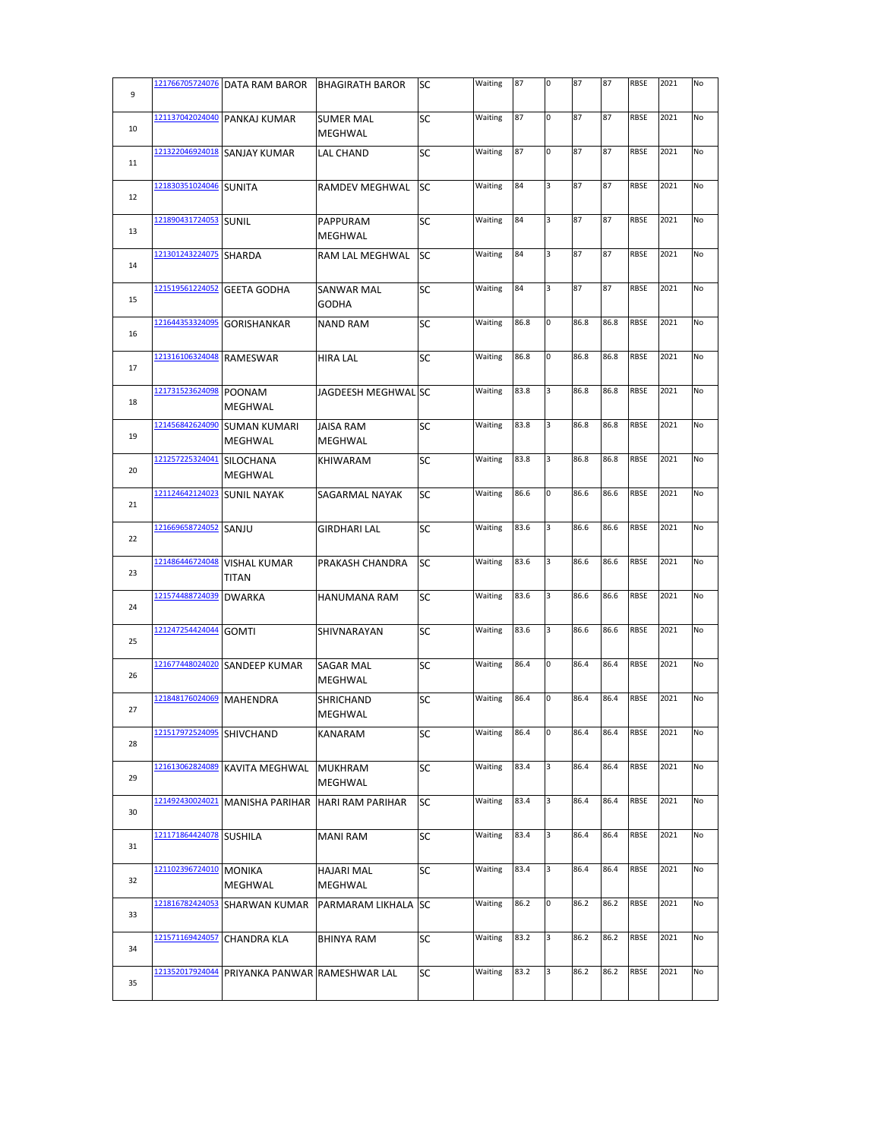| 9  |                 | 121766705724076   DATA RAM BAROR    | <b>BHAGIRATH BAROR</b>              | SС        | Waiting | 87   | 0 | 87   | 87   | <b>RBSE</b> | 2021 | No |
|----|-----------------|-------------------------------------|-------------------------------------|-----------|---------|------|---|------|------|-------------|------|----|
| 10 | 121137042024040 | PANKAJ KUMAR                        | <b>SUMER MAL</b><br><b>MEGHWAL</b>  | SC        | Waiting | 87   | 0 | 87   | 87   | RBSE        | 2021 | No |
| 11 | 121322046924018 | <b>SANJAY KUMAR</b>                 | LAL CHAND                           | SC        | Waiting | 87   | 0 | 87   | 87   | RBSE        | 2021 | No |
| 12 | 121830351024046 | <b>SUNITA</b>                       | RAMDEV MEGHWAL                      | SC        | Waiting | 84   | 3 | 87   | 87   | RBSE        | 2021 | No |
| 13 | 121890431724053 | <b>SUNIL</b>                        | PAPPURAM<br>MEGHWAL                 | SC        | Waiting | 84   | 3 | 87   | 87   | RBSE        | 2021 | No |
| 14 | 121301243224075 | <b>SHARDA</b>                       | RAM LAL MEGHWAL                     | <b>SC</b> | Waiting | 84   | 3 | 87   | 87   | RBSE        | 2021 | No |
| 15 | 121519561224052 | <b>GEETA GODHA</b>                  | SANWAR MAL<br><b>GODHA</b>          | SC        | Waiting | 84   | 3 | 87   | 87   | RBSE        | 2021 | No |
| 16 | 121644353324095 | <b>GORISHANKAR</b>                  | <b>NAND RAM</b>                     | SC        | Waiting | 86.8 | 0 | 86.8 | 86.8 | <b>RBSE</b> | 2021 | No |
| 17 | 121316106324048 | <b>RAMESWAR</b>                     | <b>HIRA LAL</b>                     | SC        | Waiting | 86.8 | 0 | 86.8 | 86.8 | RBSE        | 2021 | No |
| 18 | 121731523624098 | <b>POONAM</b><br>MEGHWAL            | JAGDEESH MEGHWAL SC                 |           | Waiting | 83.8 | 3 | 86.8 | 86.8 | <b>RBSE</b> | 2021 | No |
| 19 | 121456842624090 | <b>SUMAN KUMARI</b><br>MEGHWAL      | <b>JAISA RAM</b><br><b>MEGHWAL</b>  | SC        | Waiting | 83.8 | 3 | 86.8 | 86.8 | <b>RBSE</b> | 2021 | No |
| 20 | 121257225324041 | <b>SILOCHANA</b><br>MEGHWAL         | <b>KHIWARAM</b>                     | <b>SC</b> | Waiting | 83.8 | 3 | 86.8 | 86.8 | <b>RBSE</b> | 2021 | No |
| 21 | 121124642124023 | <b>SUNIL NAYAK</b>                  | SAGARMAL NAYAK                      | <b>SC</b> | Waiting | 86.6 | 0 | 86.6 | 86.6 | <b>RBSE</b> | 2021 | No |
| 22 | 121669658724052 | SANJU                               | GIRDHARI LAL                        | SC        | Waiting | 83.6 | 3 | 86.6 | 86.6 | <b>RBSE</b> | 2021 | No |
| 23 | 121486446724048 | <b>VISHAL KUMAR</b><br><b>TITAN</b> | PRAKASH CHANDRA                     | SC        | Waiting | 83.6 | 3 | 86.6 | 86.6 | <b>RBSE</b> | 2021 | No |
| 24 | 121574488724039 | <b>DWARKA</b>                       | HANUMANA RAM                        | SC        | Waiting | 83.6 | 3 | 86.6 | 86.6 | RBSE        | 2021 | No |
| 25 | 121247254424044 | <b>GOMTI</b>                        | SHIVNARAYAN                         | SC        | Waiting | 83.6 | 3 | 86.6 | 86.6 | RBSE        | 2021 | No |
| 26 | 121677448024020 | <b>SANDEEP KUMAR</b>                | <b>SAGAR MAL</b><br>MEGHWAL         | SC        | Waiting | 86.4 | 0 | 86.4 | 86.4 | RBSE        | 2021 | No |
| 27 | 121848176024069 | <b>MAHENDRA</b>                     | <b>SHRICHAND</b><br>MEGHWAL         | SC        | Waiting | 86.4 | 0 | 86.4 | 86.4 | RBSE        | 2021 | No |
| 28 | 121517972524095 | SHIVCHAND                           | KANARAM                             | SC        | Waiting | 86.4 | 0 | 86.4 | 86.4 | RBSE        | 2021 | No |
| 29 | 121613062824089 | <b>KAVITA MEGHWAL</b>               | <b>MUKHRAM</b><br><b>MEGHWAL</b>    | SC        | Waiting | 83.4 | 3 | 86.4 | 86.4 | <b>RBSE</b> | 2021 | No |
| 30 | 121492430024021 | <b>MANISHA PARIHAR</b>              | <b>HARI RAM PARIHAR</b>             | SC        | Waiting | 83.4 | 3 | 86.4 | 86.4 | <b>RBSE</b> | 2021 | No |
| 31 | 121171864424078 | <b>SUSHILA</b>                      | <b>MANI RAM</b>                     | SC        | Waiting | 83.4 | 3 | 86.4 | 86.4 | <b>RBSE</b> | 2021 | No |
| 32 | 121102396724010 | <b>MONIKA</b><br><b>MEGHWAL</b>     | <b>HAJARI MAL</b><br><b>MEGHWAL</b> | SC        | Waiting | 83.4 | 3 | 86.4 | 86.4 | <b>RBSE</b> | 2021 | No |
| 33 | 121816782424053 | <b>SHARWAN KUMAR</b>                | PARMARAM LIKHALA SC                 |           | Waiting | 86.2 | 0 | 86.2 | 86.2 | <b>RBSE</b> | 2021 | No |
| 34 | 121571169424057 | <b>CHANDRA KLA</b>                  | <b>BHINYA RAM</b>                   | SC        | Waiting | 83.2 | 3 | 86.2 | 86.2 | <b>RBSE</b> | 2021 | No |
| 35 | 121352017924044 | PRIYANKA PANWAR RAMESHWAR LAL       |                                     | SC        | Waiting | 83.2 | 3 | 86.2 | 86.2 | <b>RBSE</b> | 2021 | No |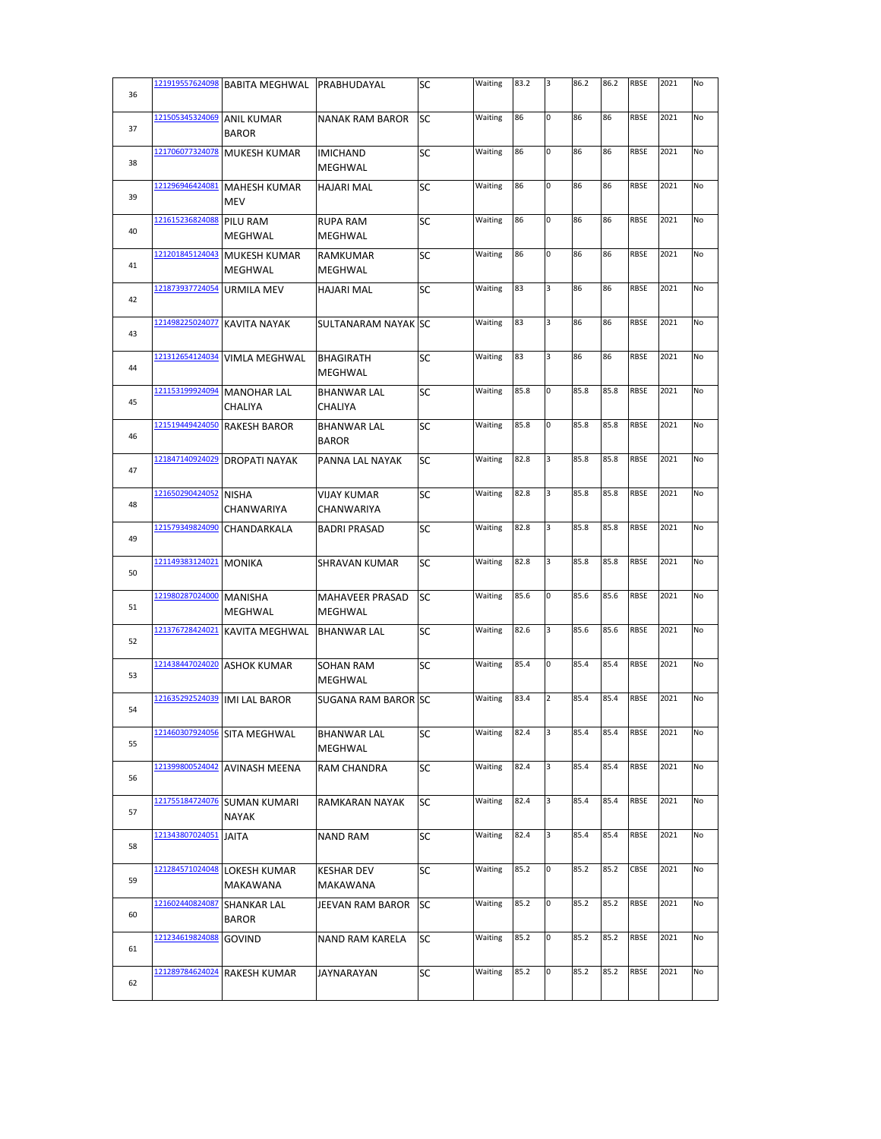| 36 | 121919557624098 | <b>BABITA MEGHWAL</b>               | PRABHUDAYAL                        | SC        | Waiting | 83.2 | 3              | 86.2 | 86.2 | RBSE        | 2021 | No |
|----|-----------------|-------------------------------------|------------------------------------|-----------|---------|------|----------------|------|------|-------------|------|----|
| 37 | 121505345324069 | <b>ANIL KUMAR</b><br><b>BAROR</b>   | <b>NANAK RAM BAROR</b>             | <b>SC</b> | Waiting | 86   | 0              | 86   | 86   | RBSE        | 2021 | No |
| 38 | 121706077324078 | <b>MUKESH KUMAR</b>                 | IMICHAND<br>MEGHWAL                | SC        | Waiting | 86   | 0              | 86   | 86   | <b>RBSE</b> | 2021 | No |
| 39 | 121296946424081 | <b>MAHESH KUMAR</b><br><b>MEV</b>   | HAJARI MAL                         | SC        | Waiting | 86   | 0              | 86   | 86   | RBSE        | 2021 | No |
| 40 | 121615236824088 | PILU RAM<br>MEGHWAL                 | <b>RUPA RAM</b><br>MEGHWAL         | SC        | Waiting | 86   | 0              | 86   | 86   | RBSE        | 2021 | No |
| 41 | 121201845124043 | <b>MUKESH KUMAR</b><br>MEGHWAL      | <b>RAMKUMAR</b><br>MEGHWAL         | SC        | Waiting | 86   | 0              | 86   | 86   | <b>RBSE</b> | 2021 | No |
| 42 | 121873937724054 | URMILA MEV                          | <b>HAJARI MAL</b>                  | <b>SC</b> | Waiting | 83   | 3              | 86   | 86   | RBSE        | 2021 | No |
| 43 | 121498225024077 | <b>KAVITA NAYAK</b>                 | SULTANARAM NAYAK SC                |           | Waiting | 83   | 3              | 86   | 86   | RBSE        | 2021 | No |
| 44 | 121312654124034 | VIMLA MEGHWAL                       | <b>BHAGIRATH</b><br>MEGHWAL        | SC        | Waiting | 83   | 3              | 86   | 86   | <b>RBSE</b> | 2021 | No |
| 45 | 121153199924094 | <b>MANOHAR LAL</b><br>CHALIYA       | <b>BHANWAR LAL</b><br>CHALIYA      | SC        | Waiting | 85.8 | 0              | 85.8 | 85.8 | <b>RBSE</b> | 2021 | No |
| 46 | 121519449424050 | <b>RAKESH BAROR</b>                 | <b>BHANWAR LAL</b><br><b>BAROR</b> | SC        | Waiting | 85.8 | 0              | 85.8 | 85.8 | <b>RBSE</b> | 2021 | No |
| 47 | 121847140924029 | <b>DROPATI NAYAK</b>                | PANNA LAL NAYAK                    | <b>SC</b> | Waiting | 82.8 | 3              | 85.8 | 85.8 | <b>RBSE</b> | 2021 | No |
| 48 | 121650290424052 | <b>NISHA</b><br>CHANWARIYA          | <b>VIJAY KUMAR</b><br>CHANWARIYA   | SC        | Waiting | 82.8 | 3              | 85.8 | 85.8 | <b>RBSE</b> | 2021 | No |
| 49 | 121579349824090 | CHANDARKALA                         | <b>BADRI PRASAD</b>                | SC        | Waiting | 82.8 | 3              | 85.8 | 85.8 | RBSE        | 2021 | No |
| 50 | 121149383124021 | <b>MONIKA</b>                       | SHRAVAN KUMAR                      | <b>SC</b> | Waiting | 82.8 | 3              | 85.8 | 85.8 | <b>RBSE</b> | 2021 | No |
| 51 | 121980287024000 | <b>MANISHA</b><br>MEGHWAL           | <b>MAHAVEER PRASAD</b><br>MEGHWAL  | SC        | Waiting | 85.6 | 0              | 85.6 | 85.6 | <b>RBSE</b> | 2021 | No |
| 52 | 121376728424021 | <b>KAVITA MEGHWAL</b>               | <b>BHANWAR LAL</b>                 | SC        | Waiting | 82.6 | 3              | 85.6 | 85.6 | RBSE        | 2021 | No |
| 53 | 121438447024020 | <b>ASHOK KUMAR</b>                  | SOHAN RAM<br>MEGHWAL               | SC        | Waiting | 85.4 | 0              | 85.4 | 85.4 | RBSE        | 2021 | No |
| 54 | 121635292524039 | <b>IMI LAL BAROR</b>                | SUGANA RAM BAROR SC                |           | Waiting | 83.4 | $\overline{2}$ | 85.4 | 85.4 | <b>RBSE</b> | 2021 | No |
| 55 | 121460307924056 | SITA MEGHWAL                        | BHANWAR LAL<br>MEGHWAL             | SC        | Waiting | 82.4 | 3              | 85.4 | 85.4 | RBSE        | 2021 | No |
| 56 | 121399800524042 | <b>AVINASH MEENA</b>                | RAM CHANDRA                        | SC        | Waiting | 82.4 | 3              | 85.4 | 85.4 | RBSE        | 2021 | No |
| 57 | 121755184724076 | <b>SUMAN KUMARI</b><br><b>NAYAK</b> | RAMKARAN NAYAK                     | SC        | Waiting | 82.4 | 3              | 85.4 | 85.4 | RBSE        | 2021 | No |
| 58 | 121343807024051 | JAITA                               | NAND RAM                           | SC        | Waiting | 82.4 | 3              | 85.4 | 85.4 | RBSE        | 2021 | No |
| 59 | 121284571024048 | LOKESH KUMAR<br>MAKAWANA            | <b>KESHAR DEV</b><br>MAKAWANA      | SC        | Waiting | 85.2 | 0              | 85.2 | 85.2 | CBSE        | 2021 | No |
| 60 | 121602440824087 | SHANKAR LAL<br><b>BAROR</b>         | JEEVAN RAM BAROR                   | <b>SC</b> | Waiting | 85.2 | 0              | 85.2 | 85.2 | RBSE        | 2021 | No |
| 61 | 121234619824088 | GOVIND                              | NAND RAM KARELA                    | SC        | Waiting | 85.2 | 0              | 85.2 | 85.2 | <b>RBSE</b> | 2021 | No |
| 62 | 121289784624024 | RAKESH KUMAR                        | JAYNARAYAN                         | SC        | Waiting | 85.2 | 0              | 85.2 | 85.2 | RBSE        | 2021 | No |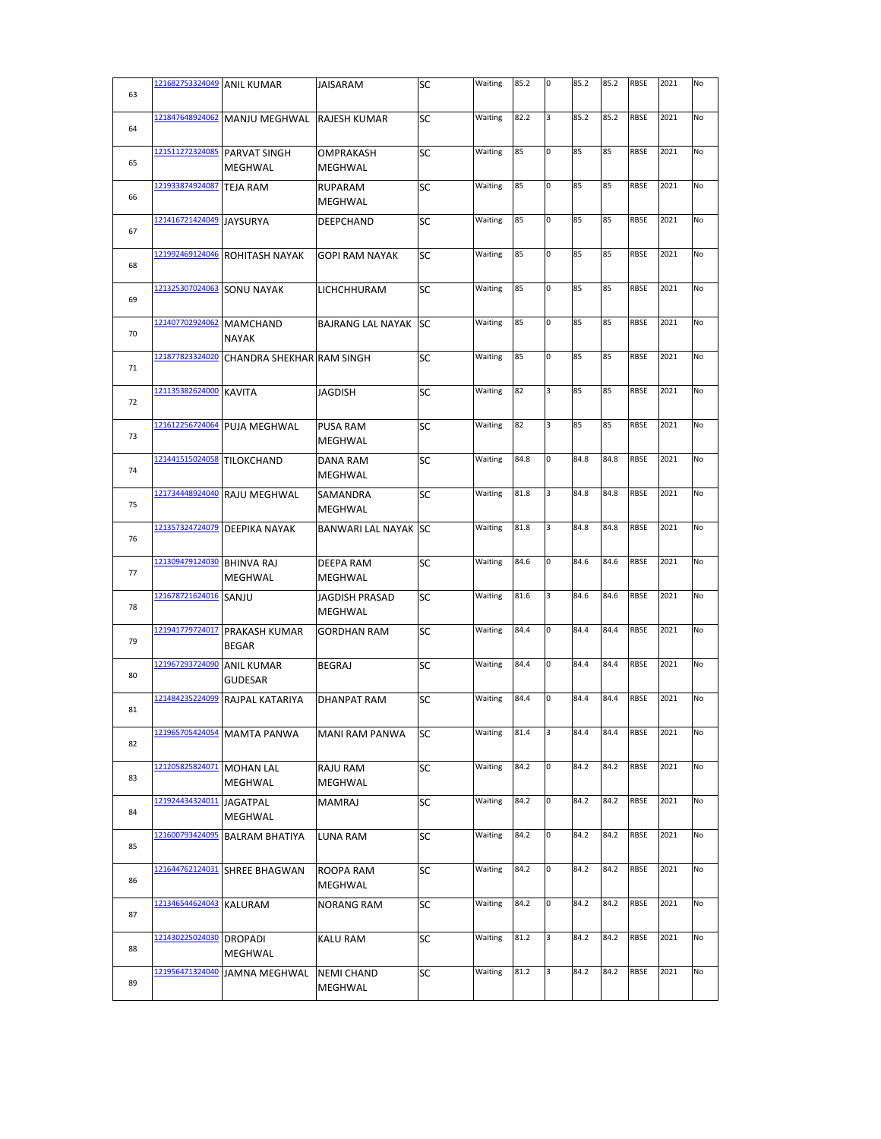| 63 | 121682753324049 ANIL KUMAR |                                      | JAISARAM                         | SC        | Waiting | 85.2 | 0 | 85.2 | 85.2 | <b>RBSE</b> | 2021 | No |
|----|----------------------------|--------------------------------------|----------------------------------|-----------|---------|------|---|------|------|-------------|------|----|
| 64 | 121847648924062            | <b>MANJU MEGHWAL</b>                 | RAJESH KUMAR                     | SC        | Waiting | 82.2 | 3 | 85.2 | 85.2 | <b>RBSE</b> | 2021 | No |
| 65 | 121511272324085            | <b>PARVAT SINGH</b><br>MEGHWAL       | OMPRAKASH<br><b>MEGHWAL</b>      | SC        | Waiting | 85   | 0 | 85   | 85   | RBSE        | 2021 | No |
| 66 | 121933874924087            | <b>TEJA RAM</b>                      | RUPARAM<br>MEGHWAL               | SC        | Waiting | 85   | 0 | 85   | 85   | <b>RBSE</b> | 2021 | No |
| 67 | 121416721424049 JAYSURYA   |                                      | DEEPCHAND                        | SC        | Waiting | 85   | 0 | 85   | 85   | <b>RBSE</b> | 2021 | No |
| 68 | 121992469124046            | <b>ROHITASH NAYAK</b>                | <b>GOPI RAM NAYAK</b>            | SC        | Waiting | 85   | 0 | 85   | 85   | <b>RBSE</b> | 2021 | No |
| 69 | 121325307024063            | <b>SONU NAYAK</b>                    | LICHCHHURAM                      | SC        | Waiting | 85   | 0 | 85   | 85   | RBSE        | 2021 | No |
| 70 | 121407702924062            | <b>MAMCHAND</b><br><b>NAYAK</b>      | <b>BAJRANG LAL NAYAK</b>         | SC        | Waiting | 85   | 0 | 85   | 85   | RBSE        | 2021 | No |
| 71 | 121877823324020            | <b>CHANDRA SHEKHAR RAM SINGH</b>     |                                  | SC        | Waiting | 85   | O | 85   | 85   | <b>RBSE</b> | 2021 | No |
| 72 | 121135382624000            | <b>KAVITA</b>                        | JAGDISH                          | SC        | Waiting | 82   | 3 | 85   | 85   | <b>RBSE</b> | 2021 | No |
| 73 |                            | 121612256724064 PUJA MEGHWAL         | <b>PUSA RAM</b><br>MEGHWAL       | SC        | Waiting | 82   | 3 | 85   | 85   | <b>RBSE</b> | 2021 | No |
| 74 | 121441515024058            | TILOKCHAND                           | DANA RAM<br>MEGHWAL              | SC        | Waiting | 84.8 | 0 | 84.8 | 84.8 | <b>RBSE</b> | 2021 | No |
| 75 | 121734448924040            | <b>RAJU MEGHWAL</b>                  | SAMANDRA<br>MEGHWAL              | SC        | Waiting | 81.8 | 3 | 84.8 | 84.8 | <b>RBSE</b> | 2021 | No |
| 76 | 121357324724079            | DEEPIKA NAYAK                        | <b>BANWARI LAL NAYAK SC</b>      |           | Waiting | 81.8 | 3 | 84.8 | 84.8 | <b>RBSE</b> | 2021 | No |
| 77 | 121309479124030            | <b>BHINVA RAJ</b><br>MEGHWAL         | DEEPA RAM<br>MEGHWAL             | SC        | Waiting | 84.6 | 0 | 84.6 | 84.6 | RBSE        | 2021 | No |
| 78 | 121678721624016            | SANJU                                | <b>JAGDISH PRASAD</b><br>MEGHWAL | SC        | Waiting | 81.6 | 3 | 84.6 | 84.6 | RBSE        | 2021 | No |
| 79 | 121941779724017            | <b>PRAKASH KUMAR</b><br><b>BEGAR</b> | <b>GORDHAN RAM</b>               | SC        | Waiting | 84.4 | 0 | 84.4 | 84.4 | <b>RBSE</b> | 2021 | No |
| 80 | 121967293724090            | <b>ANIL KUMAR</b><br><b>GUDESAR</b>  | <b>BEGRAJ</b>                    | SC        | Waiting | 84.4 | 0 | 84.4 | 84.4 | <b>RBSE</b> | 2021 | No |
| 81 | 121484235224099            | RAJPAL KATARIYA                      | <b>DHANPAT RAM</b>               | SC        | Waiting | 84.4 | 0 | 84.4 | 84.4 | <b>RBSE</b> | 2021 | No |
| 82 | 121965705424054            | <b>MAMTA PANWA</b>                   | MANI RAM PANWA                   | <b>SC</b> | Waiting | 81.4 | 3 | 84.4 | 84.4 | <b>RBSE</b> | 2021 | No |
| 83 | 121205825824071            | <b>MOHAN LAL</b><br>MEGHWAL          | RAJU RAM<br>MEGHWAL              | SC        | Waiting | 84.2 | 0 | 84.2 | 84.2 | <b>RBSE</b> | 2021 | No |
| 84 | 121924434324011            | <b>JAGATPAL</b><br>MEGHWAL           | <b>MAMRAJ</b>                    | SC        | Waiting | 84.2 | 0 | 84.2 | 84.2 | RBSE        | 2021 | No |
| 85 | 121600793424095            | <b>BALRAM BHATIYA</b>                | LUNA RAM                         | SC        | Waiting | 84.2 | 0 | 84.2 | 84.2 | <b>RBSE</b> | 2021 | No |
| 86 | 121644762124031            | <b>SHREE BHAGWAN</b>                 | ROOPA RAM<br>MEGHWAL             | SC        | Waiting | 84.2 | 0 | 84.2 | 84.2 | <b>RBSE</b> | 2021 | No |
| 87 | 121346544624043            | KALURAM                              | NORANG RAM                       | SC        | Waiting | 84.2 | 0 | 84.2 | 84.2 | RBSE        | 2021 | No |
| 88 | 121430225024030            | <b>DROPADI</b><br>MEGHWAL            | KALU RAM                         | SC        | Waiting | 81.2 | 3 | 84.2 | 84.2 | <b>RBSE</b> | 2021 | No |
| 89 | 121956471324040            | <b>JAMNA MEGHWAL</b>                 | <b>NEMI CHAND</b><br>MEGHWAL     | SC        | Waiting | 81.2 | 3 | 84.2 | 84.2 | <b>RBSE</b> | 2021 | No |